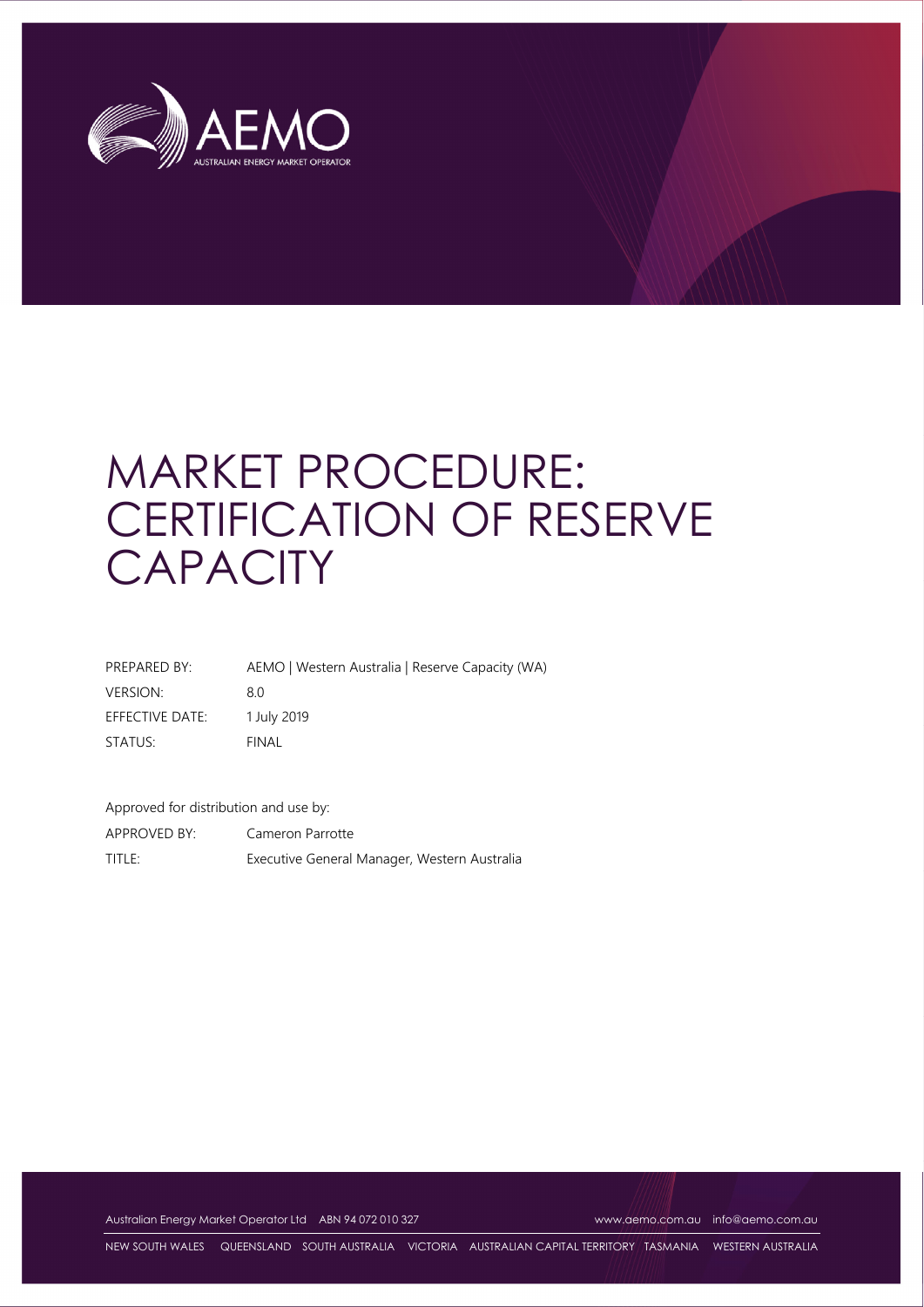

# MARKET PROCEDURE: CERTIFICATION OF RESERVE **CAPACITY**

| PREPARED BY:    | AEMO   Western Australia   Reserve Capacity (WA) |
|-----------------|--------------------------------------------------|
| <b>VERSION:</b> | 8.0                                              |
| EFFECTIVE DATE: | 1 July 2019                                      |
| STATUS:         | FINAL                                            |

Approved for distribution and use by:

APPROVED BY: Cameron Parrotte TITLE: Executive General Manager, Western Australia

Australian Energy Market Operator Ltd ABN 94 072 010 327 www.aemo.com.au info@aemo.com.au

NEW SOUTH WALES QUEENSLAND SOUTH AUSTRALIA VICTORIA AUSTRALIAN CAPITAL TERRITORY TASMANIA WESTERN AUSTRALIA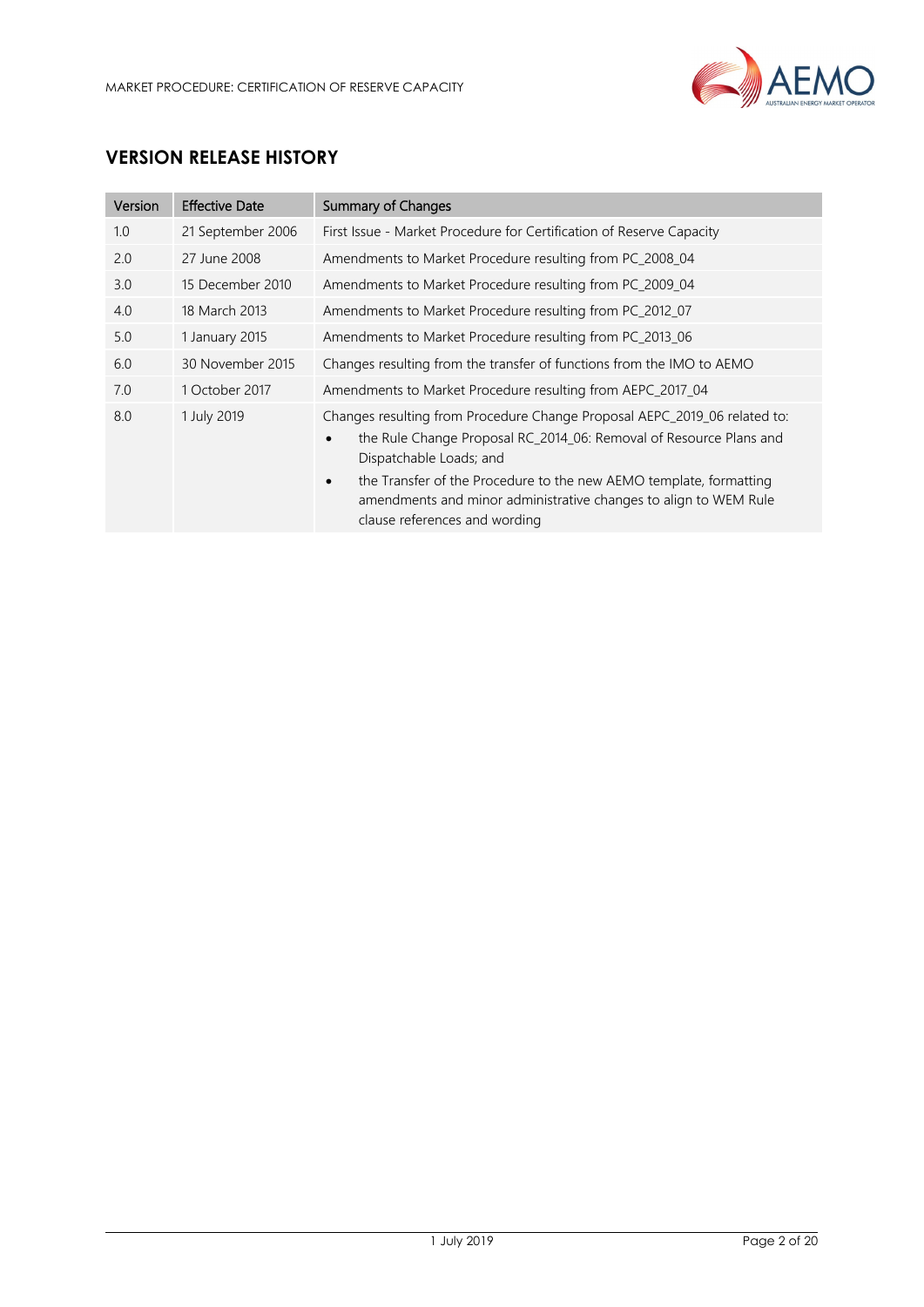

# **VERSION RELEASE HISTORY**

| Version | <b>Effective Date</b> | <b>Summary of Changes</b>                                                                                                                                                                                                                                                                                                                                                       |
|---------|-----------------------|---------------------------------------------------------------------------------------------------------------------------------------------------------------------------------------------------------------------------------------------------------------------------------------------------------------------------------------------------------------------------------|
| 1.0     | 21 September 2006     | First Issue - Market Procedure for Certification of Reserve Capacity                                                                                                                                                                                                                                                                                                            |
| 2.0     | 27 June 2008          | Amendments to Market Procedure resulting from PC_2008_04                                                                                                                                                                                                                                                                                                                        |
| 3.0     | 15 December 2010      | Amendments to Market Procedure resulting from PC_2009_04                                                                                                                                                                                                                                                                                                                        |
| 4.0     | 18 March 2013         | Amendments to Market Procedure resulting from PC_2012_07                                                                                                                                                                                                                                                                                                                        |
| 5.0     | 1 January 2015        | Amendments to Market Procedure resulting from PC_2013_06                                                                                                                                                                                                                                                                                                                        |
| 6.0     | 30 November 2015      | Changes resulting from the transfer of functions from the IMO to AEMO                                                                                                                                                                                                                                                                                                           |
| 7.0     | 1 October 2017        | Amendments to Market Procedure resulting from AEPC_2017_04                                                                                                                                                                                                                                                                                                                      |
| 8.0     | 1 July 2019           | Changes resulting from Procedure Change Proposal AEPC_2019_06 related to:<br>the Rule Change Proposal RC_2014_06: Removal of Resource Plans and<br>$\bullet$<br>Dispatchable Loads; and<br>the Transfer of the Procedure to the new AEMO template, formatting<br>$\bullet$<br>amendments and minor administrative changes to align to WEM Rule<br>clause references and wording |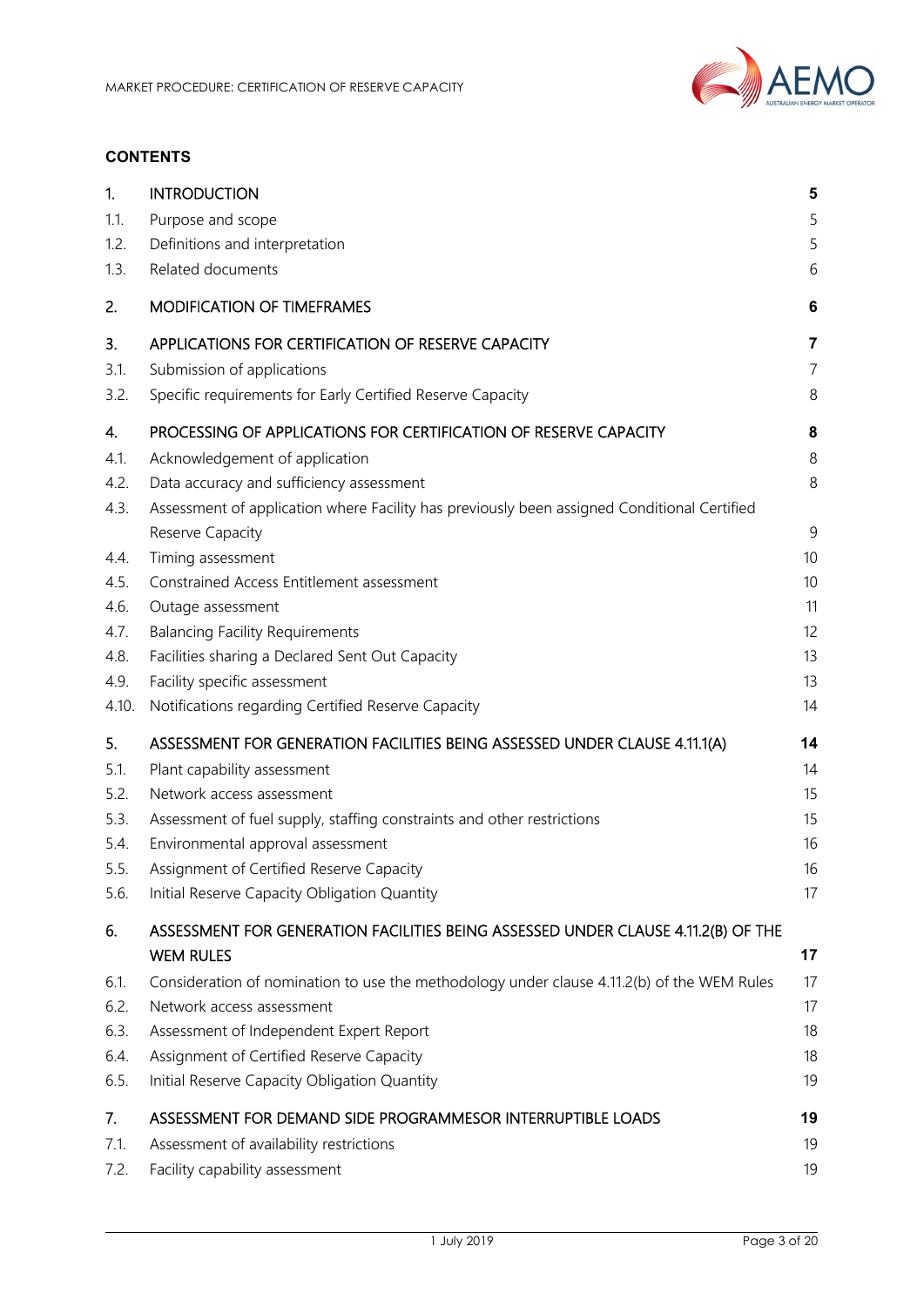

#### **CONTENTS**

| 1.    | <b>INTRODUCTION</b>                                                                         | 5              |
|-------|---------------------------------------------------------------------------------------------|----------------|
| 1.1.  | Purpose and scope                                                                           | 5              |
| 1.2.  | Definitions and interpretation                                                              | 5              |
| 1.3.  | Related documents                                                                           | 6              |
| 2.    | <b>MODIFICATION OF TIMEFRAMES</b>                                                           | 6              |
| 3.    | APPLICATIONS FOR CERTIFICATION OF RESERVE CAPACITY                                          | $\overline{7}$ |
| 3.1.  | Submission of applications                                                                  | $\overline{7}$ |
| 3.2.  | Specific requirements for Early Certified Reserve Capacity                                  | 8              |
| 4.    | PROCESSING OF APPLICATIONS FOR CERTIFICATION OF RESERVE CAPACITY                            | 8              |
| 4.1.  | Acknowledgement of application                                                              | 8              |
| 4.2.  | Data accuracy and sufficiency assessment                                                    | 8              |
| 4.3.  | Assessment of application where Facility has previously been assigned Conditional Certified |                |
|       | Reserve Capacity                                                                            | $\mathsf 9$    |
| 4.4.  | Timing assessment                                                                           | 10             |
| 4.5.  | Constrained Access Entitlement assessment                                                   | 10             |
| 4.6.  | Outage assessment                                                                           | 11             |
| 4.7.  | <b>Balancing Facility Requirements</b>                                                      | 12             |
| 4.8.  | Facilities sharing a Declared Sent Out Capacity                                             | 13             |
| 4.9.  | Facility specific assessment                                                                | 13             |
| 4.10. | Notifications regarding Certified Reserve Capacity                                          | 14             |
| 5.    | ASSESSMENT FOR GENERATION FACILITIES BEING ASSESSED UNDER CLAUSE 4.11.1(A)                  | 14             |
| 5.1.  | Plant capability assessment                                                                 | 14             |
| 5.2.  | Network access assessment                                                                   | 15             |
| 5.3.  | Assessment of fuel supply, staffing constraints and other restrictions                      | 15             |
| 5.4.  | Environmental approval assessment                                                           | 16             |
| 5.5.  | Assignment of Certified Reserve Capacity                                                    | 16             |
| 5.6.  | Initial Reserve Capacity Obligation Quantity                                                | 17             |
| 6.    | ASSESSMENT FOR GENERATION FACILITIES BEING ASSESSED UNDER CLAUSE 4.11.2(B) OF THE           |                |
|       | <b>WEM RULES</b>                                                                            | 17             |
| 6.1.  | Consideration of nomination to use the methodology under clause 4.11.2(b) of the WEM Rules  | 17             |
| 6.2.  | Network access assessment                                                                   | 17             |
| 6.3.  | Assessment of Independent Expert Report                                                     | 18             |
| 6.4.  | Assignment of Certified Reserve Capacity                                                    | 18             |
| 6.5.  | Initial Reserve Capacity Obligation Quantity                                                | 19             |
| 7.    | ASSESSMENT FOR DEMAND SIDE PROGRAMMESOR INTERRUPTIBLE LOADS                                 | 19             |
| 7.1.  | Assessment of availability restrictions                                                     | 19             |
| 7.2.  | Facility capability assessment                                                              | 19             |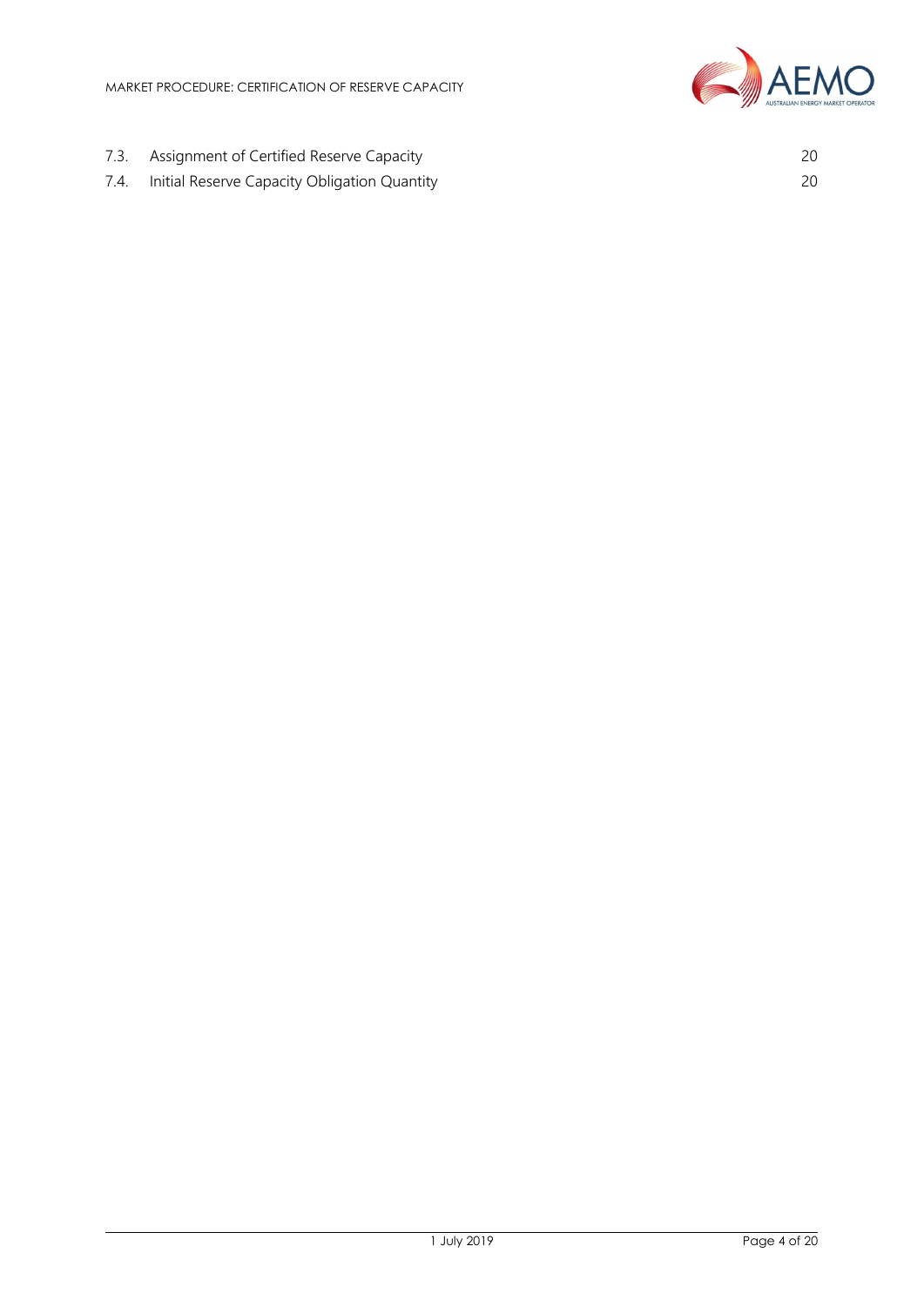

- 7.3. Assignment of Certified Reserve Capacity 20
- 7.4. Initial Reserve Capacity Obligation Quantity 20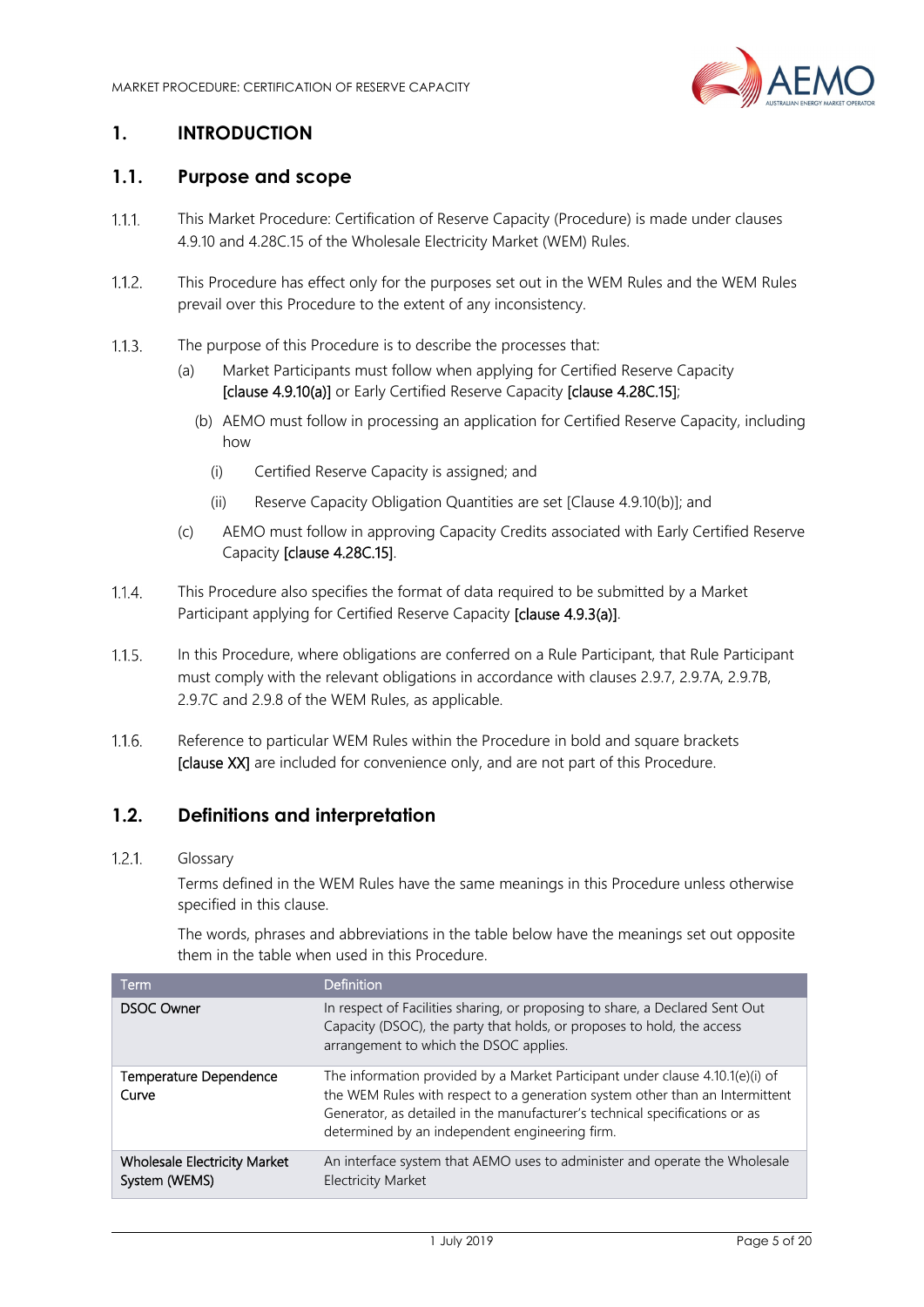

## **1. INTRODUCTION**

#### **1.1. Purpose and scope**

- $1.1.1.$ This Market Procedure: Certification of Reserve Capacity (Procedure) is made under clauses 4.9.10 and 4.28C.15 of the Wholesale Electricity Market (WEM) Rules.
- $1.1.2$ This Procedure has effect only for the purposes set out in the WEM Rules and the WEM Rules prevail over this Procedure to the extent of any inconsistency.
- The purpose of this Procedure is to describe the processes that:  $1.1.3.$ 
	- (a) Market Participants must follow when applying for Certified Reserve Capacity [clause 4.9.10(a)] or Early Certified Reserve Capacity [clause 4.28C.15];
		- (b) AEMO must follow in processing an application for Certified Reserve Capacity, including how
			- (i) Certified Reserve Capacity is assigned; and
			- (ii) Reserve Capacity Obligation Quantities are set [Clause 4.9.10(b)]; and
	- (c) AEMO must follow in approving Capacity Credits associated with Early Certified Reserve Capacity [clause 4.28C.15].
- $1.1.4$ This Procedure also specifies the format of data required to be submitted by a Market Participant applying for Certified Reserve Capacity [clause 4.9.3(a)].
- In this Procedure, where obligations are conferred on a Rule Participant, that Rule Participant  $1.1.5.$ must comply with the relevant obligations in accordance with clauses 2.9.7, 2.9.7A, 2.9.7B, 2.9.7C and 2.9.8 of the WEM Rules, as applicable.
- $1.1.6.$ Reference to particular WEM Rules within the Procedure in bold and square brackets [clause XX] are included for convenience only, and are not part of this Procedure.

#### **1.2. Definitions and interpretation**

#### $1.2.1.$ Glossary

Terms defined in the WEM Rules have the same meanings in this Procedure unless otherwise specified in this clause.

The words, phrases and abbreviations in the table below have the meanings set out opposite them in the table when used in this Procedure.

| Term                                                 | <b>Definition</b>                                                                                                                                                                                                                                                                              |
|------------------------------------------------------|------------------------------------------------------------------------------------------------------------------------------------------------------------------------------------------------------------------------------------------------------------------------------------------------|
| <b>DSOC Owner</b>                                    | In respect of Facilities sharing, or proposing to share, a Declared Sent Out<br>Capacity (DSOC), the party that holds, or proposes to hold, the access<br>arrangement to which the DSOC applies.                                                                                               |
| <b>Temperature Dependence</b><br>Curve               | The information provided by a Market Participant under clause 4.10.1(e)(i) of<br>the WEM Rules with respect to a generation system other than an Intermittent<br>Generator, as detailed in the manufacturer's technical specifications or as<br>determined by an independent engineering firm. |
| <b>Wholesale Electricity Market</b><br>System (WEMS) | An interface system that AEMO uses to administer and operate the Wholesale<br><b>Electricity Market</b>                                                                                                                                                                                        |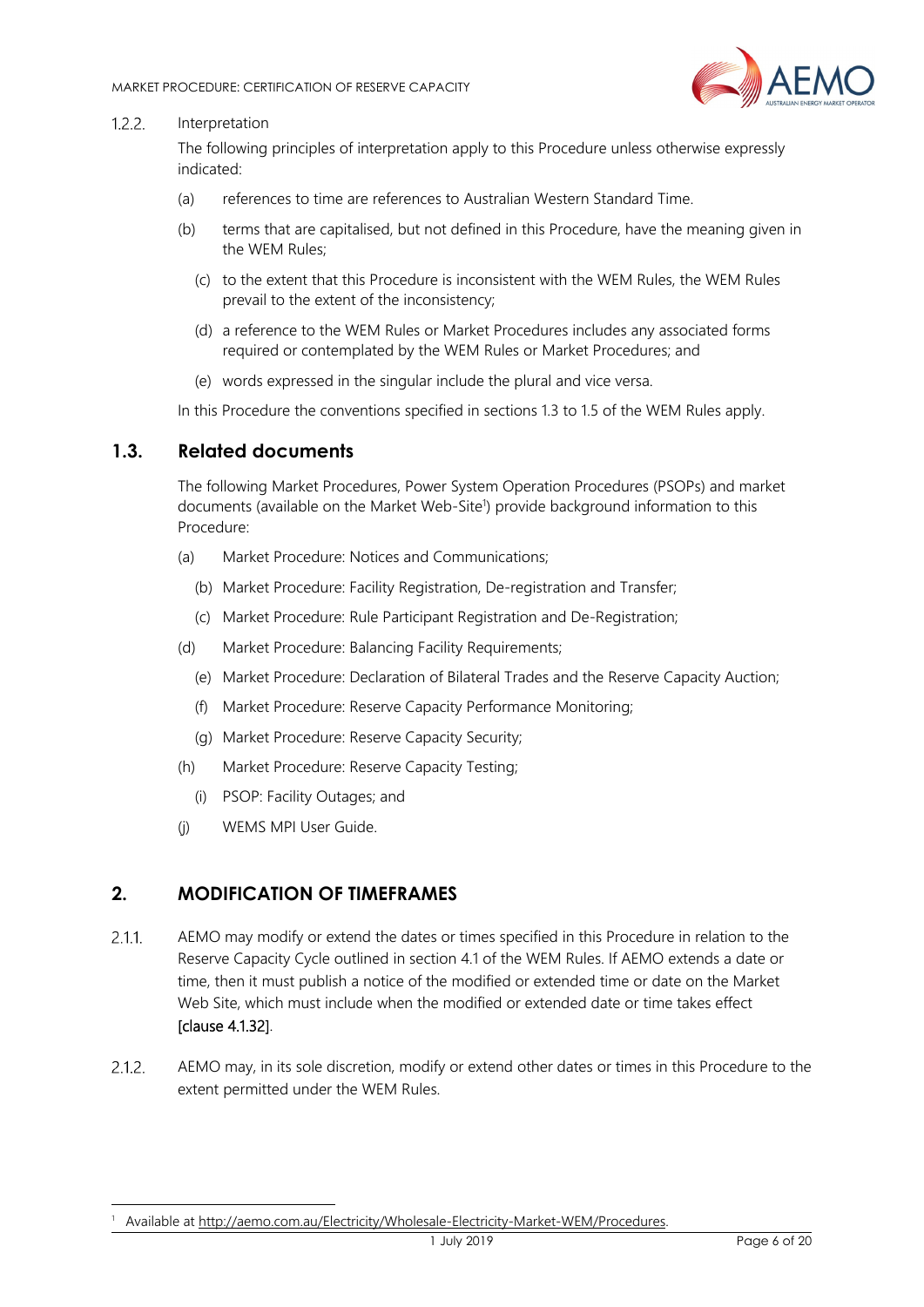

#### $1.2.2.$ Interpretation

The following principles of interpretation apply to this Procedure unless otherwise expressly indicated:

- (a) references to time are references to Australian Western Standard Time.
- (b) terms that are capitalised, but not defined in this Procedure, have the meaning given in the WEM Rules;
	- (c) to the extent that this Procedure is inconsistent with the WEM Rules, the WEM Rules prevail to the extent of the inconsistency;
	- (d) a reference to the WEM Rules or Market Procedures includes any associated forms required or contemplated by the WEM Rules or Market Procedures; and
	- (e) words expressed in the singular include the plural and vice versa.

In this Procedure the conventions specified in sections 1.3 to 1.5 of the WEM Rules apply.

#### **1.3. Related documents**

The following Market Procedures, Power System Operation Procedures (PSOPs) and market documents (available on the Market Web-Site<sup>1</sup>) provide background information to this Procedure:

- (a) Market Procedure: Notices and Communications;
	- (b) Market Procedure: Facility Registration, De-registration and Transfer;
	- (c) Market Procedure: Rule Participant Registration and De-Registration;
- (d) Market Procedure: Balancing Facility Requirements;
	- (e) Market Procedure: Declaration of Bilateral Trades and the Reserve Capacity Auction;
	- (f) Market Procedure: Reserve Capacity Performance Monitoring;
	- (g) Market Procedure: Reserve Capacity Security;
- (h) Market Procedure: Reserve Capacity Testing;
	- (i) PSOP: Facility Outages; and
- (j) WEMS MPI User Guide.

#### **2. MODIFICATION OF TIMEFRAMES**

-

- $2.1.1$ AEMO may modify or extend the dates or times specified in this Procedure in relation to the Reserve Capacity Cycle outlined in section 4.1 of the WEM Rules. If AEMO extends a date or time, then it must publish a notice of the modified or extended time or date on the Market Web Site, which must include when the modified or extended date or time takes effect [clause 4.1.32].
- $2.1.2$ AEMO may, in its sole discretion, modify or extend other dates or times in this Procedure to the extent permitted under the WEM Rules.

<sup>1</sup> Available at http://aemo.com.au/Electricity/Wholesale-Electricity-Market-WEM/Procedures.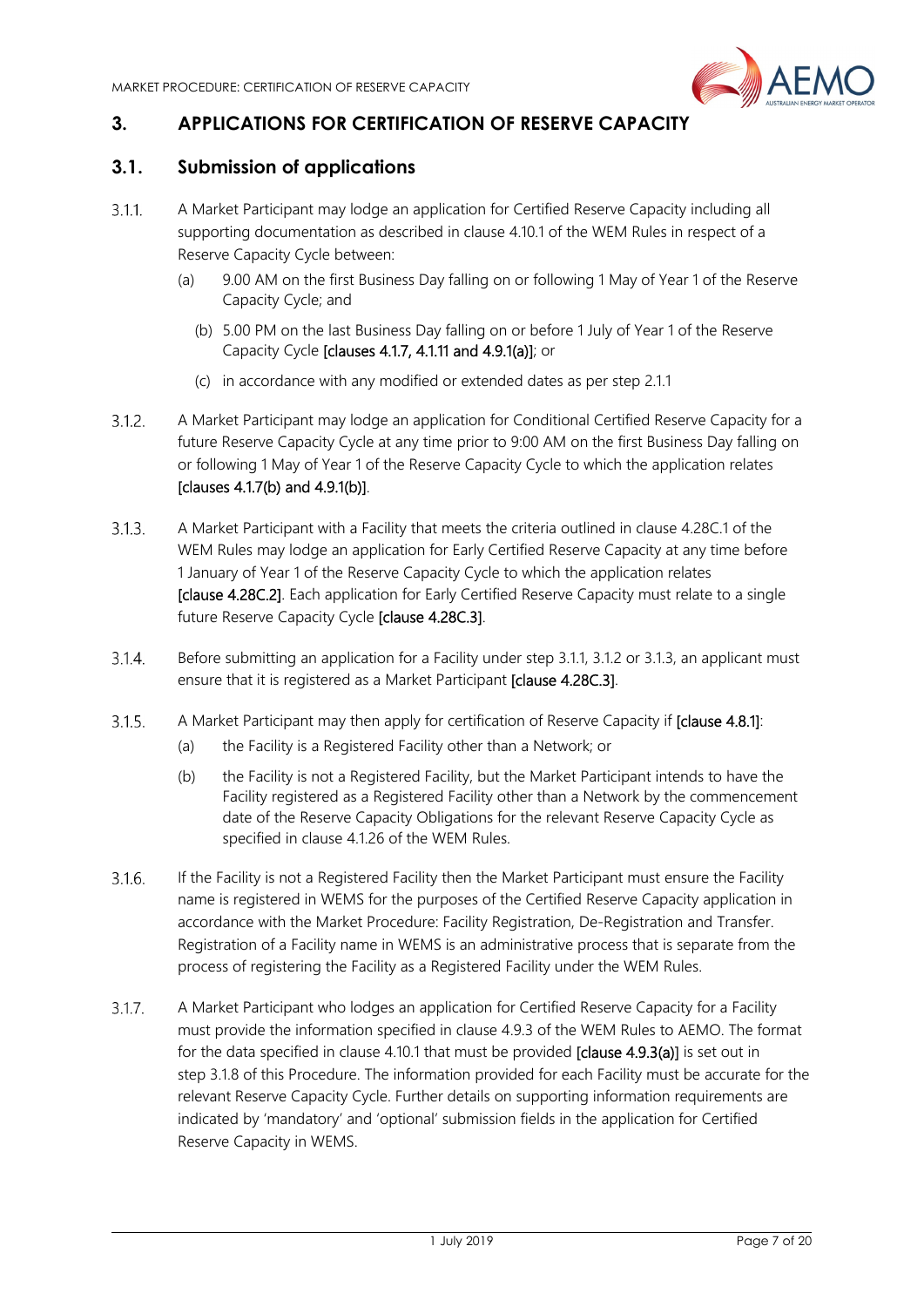

# **3. APPLICATIONS FOR CERTIFICATION OF RESERVE CAPACITY**

## **3.1. Submission of applications**

- $3.1.1$ A Market Participant may lodge an application for Certified Reserve Capacity including all supporting documentation as described in clause 4.10.1 of the WEM Rules in respect of a Reserve Capacity Cycle between:
	- (a) 9.00 AM on the first Business Day falling on or following 1 May of Year 1 of the Reserve Capacity Cycle; and
		- (b) 5.00 PM on the last Business Day falling on or before 1 July of Year 1 of the Reserve Capacity Cycle [clauses 4.1.7, 4.1.11 and 4.9.1(a)]; or
		- (c) in accordance with any modified or extended dates as per step 2.1.1
- $3.1.2.$ A Market Participant may lodge an application for Conditional Certified Reserve Capacity for a future Reserve Capacity Cycle at any time prior to 9:00 AM on the first Business Day falling on or following 1 May of Year 1 of the Reserve Capacity Cycle to which the application relates [clauses 4.1.7(b) and 4.9.1(b)].
- $3.1.3.$ A Market Participant with a Facility that meets the criteria outlined in clause 4.28C.1 of the WEM Rules may lodge an application for Early Certified Reserve Capacity at any time before 1 January of Year 1 of the Reserve Capacity Cycle to which the application relates [clause 4.28C.2]. Each application for Early Certified Reserve Capacity must relate to a single future Reserve Capacity Cycle [clause 4.28C.3].
- $3.1.4.$ Before submitting an application for a Facility under step 3.1.1, 3.1.2 or 3.1.3, an applicant must ensure that it is registered as a Market Participant [clause 4.28C.3].
- $3.1.5.$ A Market Participant may then apply for certification of Reserve Capacity if [clause 4.8.1]:
	- (a) the Facility is a Registered Facility other than a Network; or
	- (b) the Facility is not a Registered Facility, but the Market Participant intends to have the Facility registered as a Registered Facility other than a Network by the commencement date of the Reserve Capacity Obligations for the relevant Reserve Capacity Cycle as specified in clause 4.1.26 of the WEM Rules.
- $3.1.6.$ If the Facility is not a Registered Facility then the Market Participant must ensure the Facility name is registered in WEMS for the purposes of the Certified Reserve Capacity application in accordance with the Market Procedure: Facility Registration, De-Registration and Transfer. Registration of a Facility name in WEMS is an administrative process that is separate from the process of registering the Facility as a Registered Facility under the WEM Rules.
- $3.1.7.$ A Market Participant who lodges an application for Certified Reserve Capacity for a Facility must provide the information specified in clause 4.9.3 of the WEM Rules to AEMO. The format for the data specified in clause 4.10.1 that must be provided [clause 4.9.3(a)] is set out in step 3.1.8 of this Procedure. The information provided for each Facility must be accurate for the relevant Reserve Capacity Cycle. Further details on supporting information requirements are indicated by 'mandatory' and 'optional' submission fields in the application for Certified Reserve Capacity in WEMS.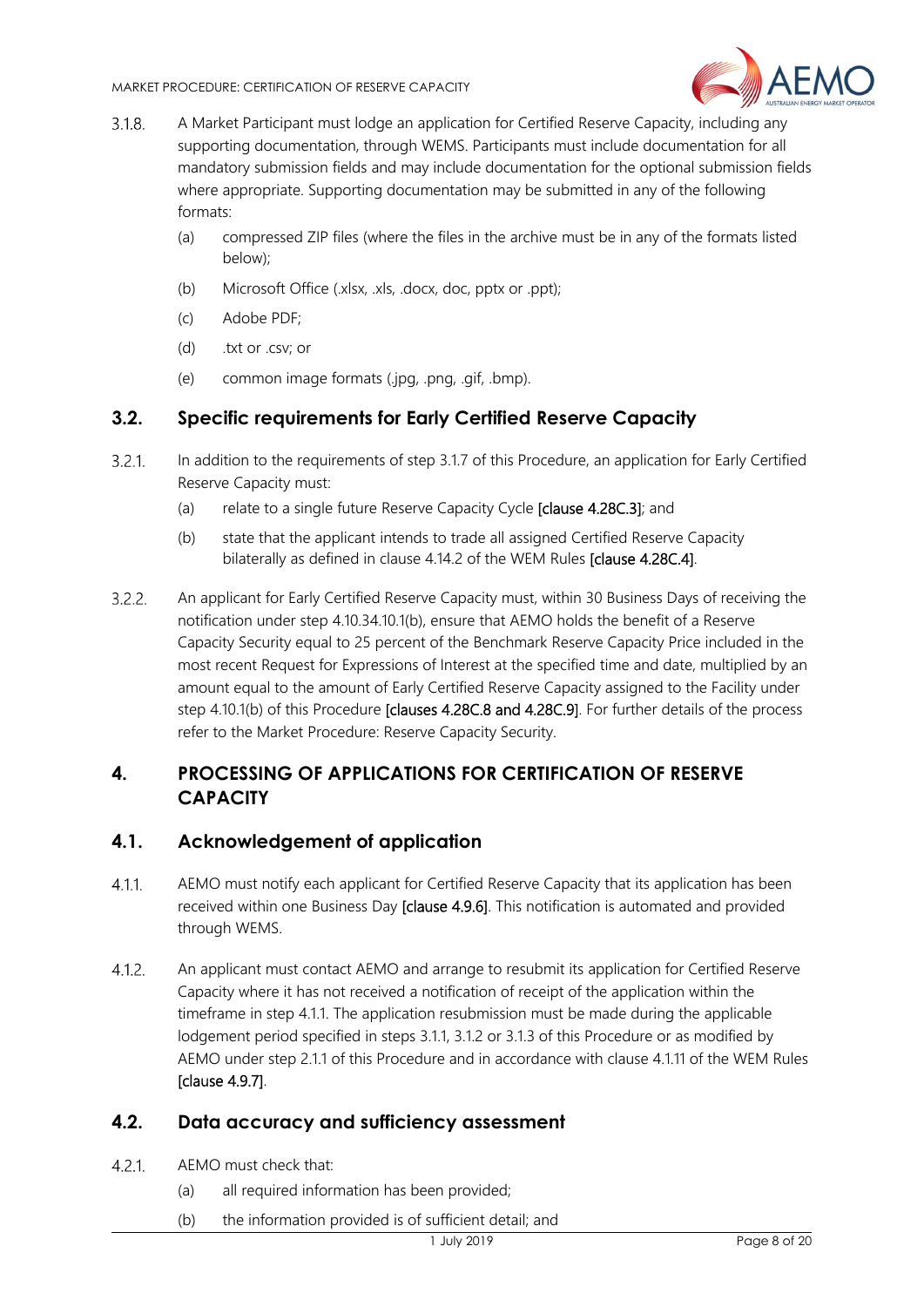

- $3.1.8.$ A Market Participant must lodge an application for Certified Reserve Capacity, including any supporting documentation, through WEMS. Participants must include documentation for all mandatory submission fields and may include documentation for the optional submission fields where appropriate. Supporting documentation may be submitted in any of the following formats:
	- (a) compressed ZIP files (where the files in the archive must be in any of the formats listed below);
	- (b) Microsoft Office (.xlsx, .xls, .docx, doc, pptx or .ppt);
	- (c) Adobe PDF;
	- (d) .txt or .csv; or
	- (e) common image formats (.jpg, .png, .gif, .bmp).

# **3.2. Specific requirements for Early Certified Reserve Capacity**

- $3.2.1.$ In addition to the requirements of step 3.1.7 of this Procedure, an application for Early Certified Reserve Capacity must:
	- (a) relate to a single future Reserve Capacity Cycle [clause 4.28C.3]; and
	- (b) state that the applicant intends to trade all assigned Certified Reserve Capacity bilaterally as defined in clause 4.14.2 of the WEM Rules [clause 4.28C.4].
- $3.2.2.$ An applicant for Early Certified Reserve Capacity must, within 30 Business Days of receiving the notification under step 4.10.34.10.1(b), ensure that AEMO holds the benefit of a Reserve Capacity Security equal to 25 percent of the Benchmark Reserve Capacity Price included in the most recent Request for Expressions of Interest at the specified time and date, multiplied by an amount equal to the amount of Early Certified Reserve Capacity assigned to the Facility under step 4.10.1(b) of this Procedure **[clauses 4.28C.8 and 4.28C.9]**. For further details of the process refer to the Market Procedure: Reserve Capacity Security.

# **4. PROCESSING OF APPLICATIONS FOR CERTIFICATION OF RESERVE CAPACITY**

# **4.1. Acknowledgement of application**

- AEMO must notify each applicant for Certified Reserve Capacity that its application has been  $4.1.1$ received within one Business Day [clause 4.9.6]. This notification is automated and provided through WEMS.
- $4.1.2.$ An applicant must contact AEMO and arrange to resubmit its application for Certified Reserve Capacity where it has not received a notification of receipt of the application within the timeframe in step 4.1.1. The application resubmission must be made during the applicable lodgement period specified in steps 3.1.1, 3.1.2 or 3.1.3 of this Procedure or as modified by AEMO under step 2.1.1 of this Procedure and in accordance with clause 4.1.11 of the WEM Rules [clause 4.9.7].

# **4.2. Data accuracy and sufficiency assessment**

- $4.2.1$ AEMO must check that:
	- (a) all required information has been provided;
	- (b) the information provided is of sufficient detail; and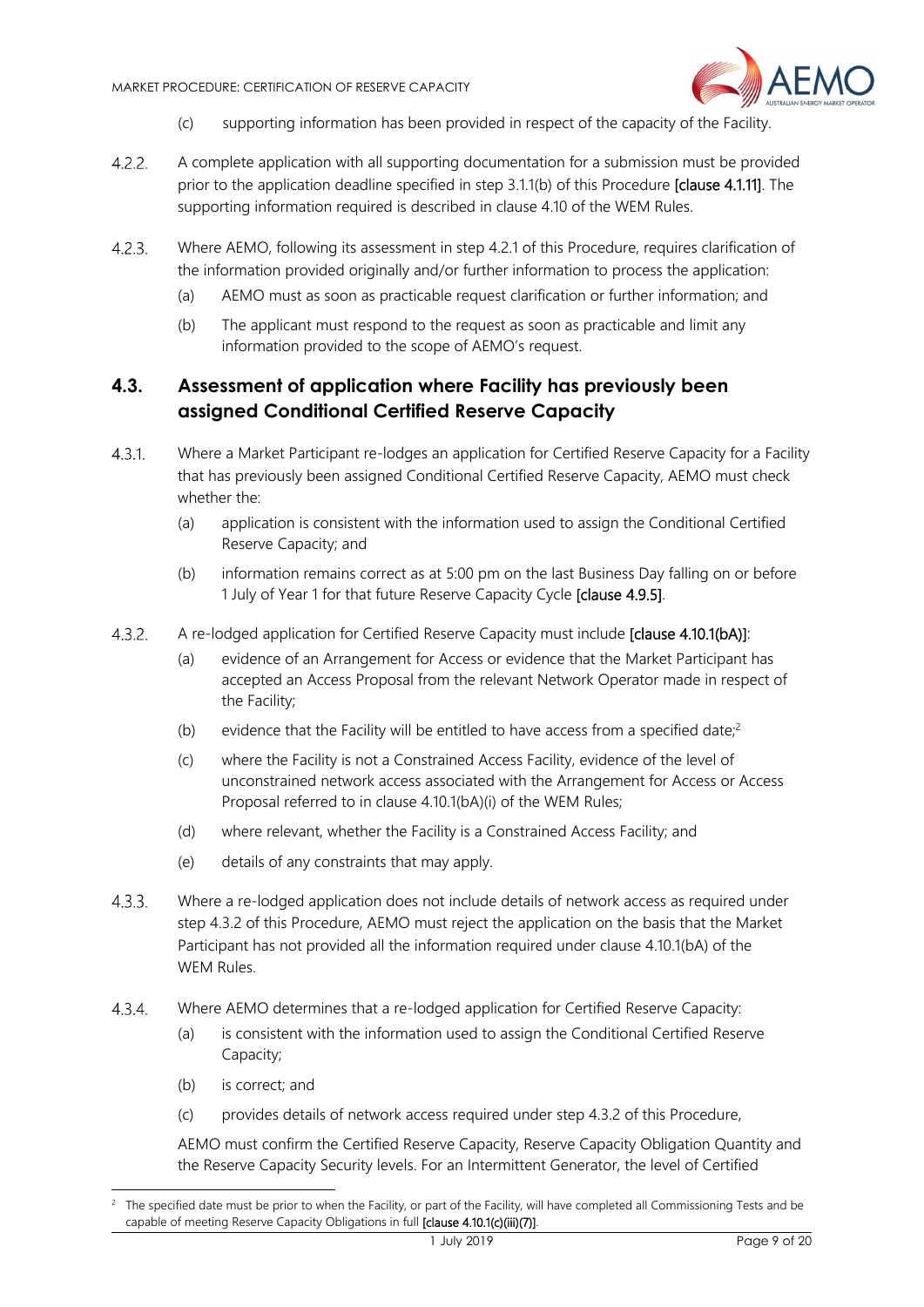

- (c) supporting information has been provided in respect of the capacity of the Facility.
- $4.2.2.$ A complete application with all supporting documentation for a submission must be provided prior to the application deadline specified in step 3.1.1(b) of this Procedure [clause 4.1.11]. The supporting information required is described in clause 4.10 of the WEM Rules.
- $4.2.3.$ Where AEMO, following its assessment in step 4.2.1 of this Procedure, requires clarification of the information provided originally and/or further information to process the application:
	- (a) AEMO must as soon as practicable request clarification or further information; and
	- (b) The applicant must respond to the request as soon as practicable and limit any information provided to the scope of AEMO's request.

# **4.3. Assessment of application where Facility has previously been assigned Conditional Certified Reserve Capacity**

- $4.3.1$ Where a Market Participant re-lodges an application for Certified Reserve Capacity for a Facility that has previously been assigned Conditional Certified Reserve Capacity, AEMO must check whether the:
	- (a) application is consistent with the information used to assign the Conditional Certified Reserve Capacity; and
	- (b) information remains correct as at 5:00 pm on the last Business Day falling on or before 1 July of Year 1 for that future Reserve Capacity Cycle [clause 4.9.5].
- $4.3.2.$ A re-lodged application for Certified Reserve Capacity must include [clause 4.10.1(bA)]:
	- (a) evidence of an Arrangement for Access or evidence that the Market Participant has accepted an Access Proposal from the relevant Network Operator made in respect of the Facility;
	- (b) evidence that the Facility will be entitled to have access from a specified date;<sup>2</sup>
	- (c) where the Facility is not a Constrained Access Facility, evidence of the level of unconstrained network access associated with the Arrangement for Access or Access Proposal referred to in clause 4.10.1(bA)(i) of the WEM Rules;
	- (d) where relevant, whether the Facility is a Constrained Access Facility; and
	- (e) details of any constraints that may apply.
- $4.3.3.$ Where a re-lodged application does not include details of network access as required under step 4.3.2 of this Procedure, AEMO must reject the application on the basis that the Market Participant has not provided all the information required under clause 4.10.1(bA) of the WEM Rules.
- $4.3.4.$ Where AEMO determines that a re-lodged application for Certified Reserve Capacity:
	- (a) is consistent with the information used to assign the Conditional Certified Reserve Capacity;
	- (b) is correct; and

-

(c) provides details of network access required under step 4.3.2 of this Procedure,

AEMO must confirm the Certified Reserve Capacity, Reserve Capacity Obligation Quantity and the Reserve Capacity Security levels. For an Intermittent Generator, the level of Certified

<sup>2</sup> The specified date must be prior to when the Facility, or part of the Facility, will have completed all Commissioning Tests and be capable of meeting Reserve Capacity Obligations in full [clause 4.10.1(c)(iii)(7)].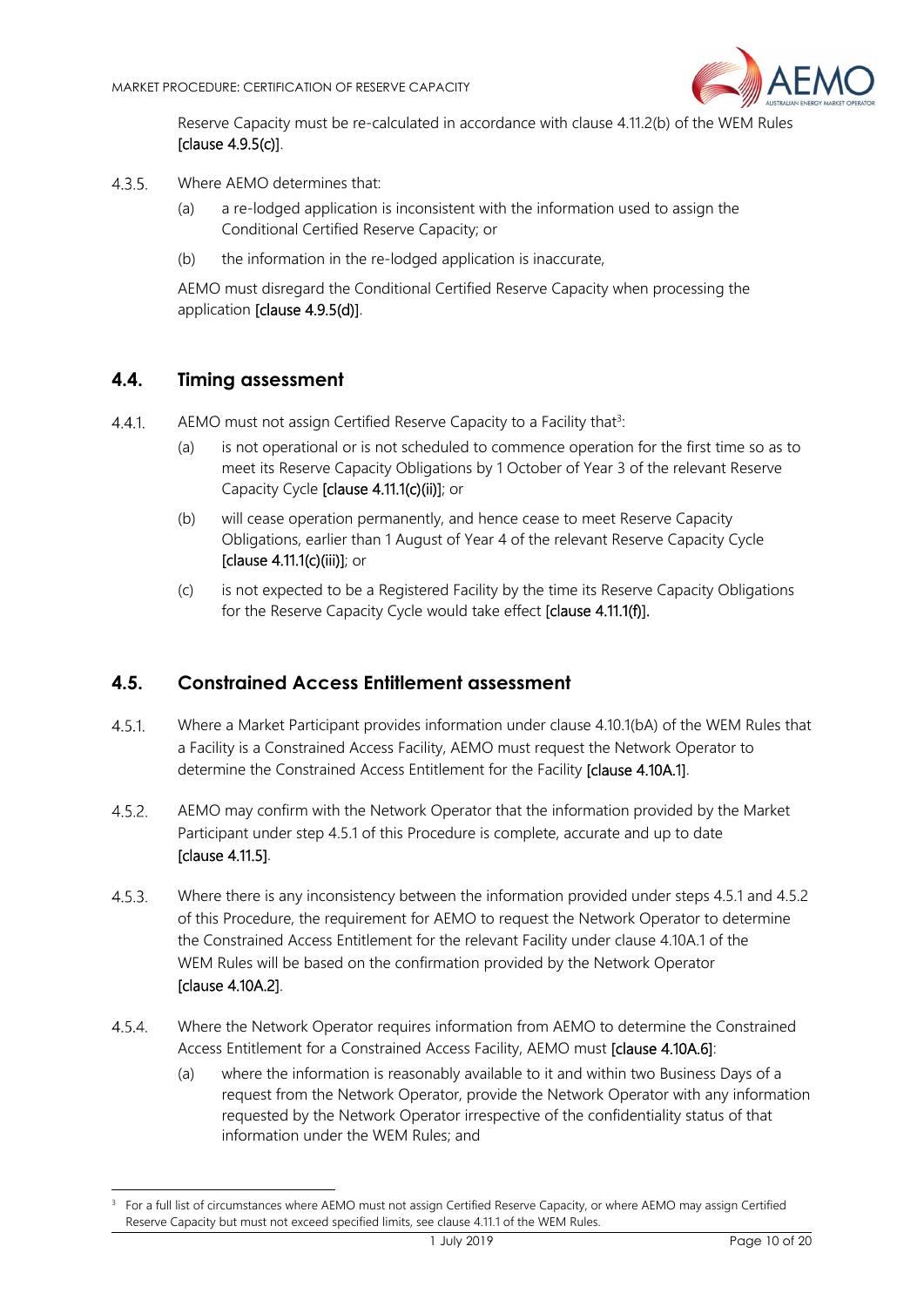

Reserve Capacity must be re-calculated in accordance with clause 4.11.2(b) of the WEM Rules [clause 4.9.5(c)].

- $4.3.5$ Where AFMO determines that:
	- (a) a re-lodged application is inconsistent with the information used to assign the Conditional Certified Reserve Capacity; or
	- (b) the information in the re-lodged application is inaccurate,

AEMO must disregard the Conditional Certified Reserve Capacity when processing the application [clause 4.9.5(d)].

#### **4.4. Timing assessment**

-

- $4.4.1$ AEMO must not assign Certified Reserve Capacity to a Facility that<sup>3</sup>:
	- (a) is not operational or is not scheduled to commence operation for the first time so as to meet its Reserve Capacity Obligations by 1 October of Year 3 of the relevant Reserve Capacity Cycle [clause 4.11.1(c)(ii)]; or
	- (b) will cease operation permanently, and hence cease to meet Reserve Capacity Obligations, earlier than 1 August of Year 4 of the relevant Reserve Capacity Cycle [clause 4.11.1(c)(iii)]; or
	- (c) is not expected to be a Registered Facility by the time its Reserve Capacity Obligations for the Reserve Capacity Cycle would take effect [clause 4.11.1(f)].

#### **4.5. Constrained Access Entitlement assessment**

- $4.5.1$ . Where a Market Participant provides information under clause 4.10.1(bA) of the WEM Rules that a Facility is a Constrained Access Facility, AEMO must request the Network Operator to determine the Constrained Access Entitlement for the Facility [clause 4.10A.1].
- $4.5.2.$ AEMO may confirm with the Network Operator that the information provided by the Market Participant under step 4.5.1 of this Procedure is complete, accurate and up to date [clause 4.11.5].
- $4.5.3$ Where there is any inconsistency between the information provided under steps 4.5.1 and 4.5.2 of this Procedure, the requirement for AEMO to request the Network Operator to determine the Constrained Access Entitlement for the relevant Facility under clause 4.10A.1 of the WEM Rules will be based on the confirmation provided by the Network Operator [clause 4.10A.2].
- $4.5.4.$ Where the Network Operator requires information from AEMO to determine the Constrained Access Entitlement for a Constrained Access Facility, AEMO must [clause 4.10A.6]:
	- (a) where the information is reasonably available to it and within two Business Days of a request from the Network Operator, provide the Network Operator with any information requested by the Network Operator irrespective of the confidentiality status of that information under the WEM Rules; and

<sup>&</sup>lt;sup>3</sup> For a full list of circumstances where AEMO must not assign Certified Reserve Capacity, or where AEMO may assign Certified Reserve Capacity but must not exceed specified limits, see clause 4.11.1 of the WEM Rules.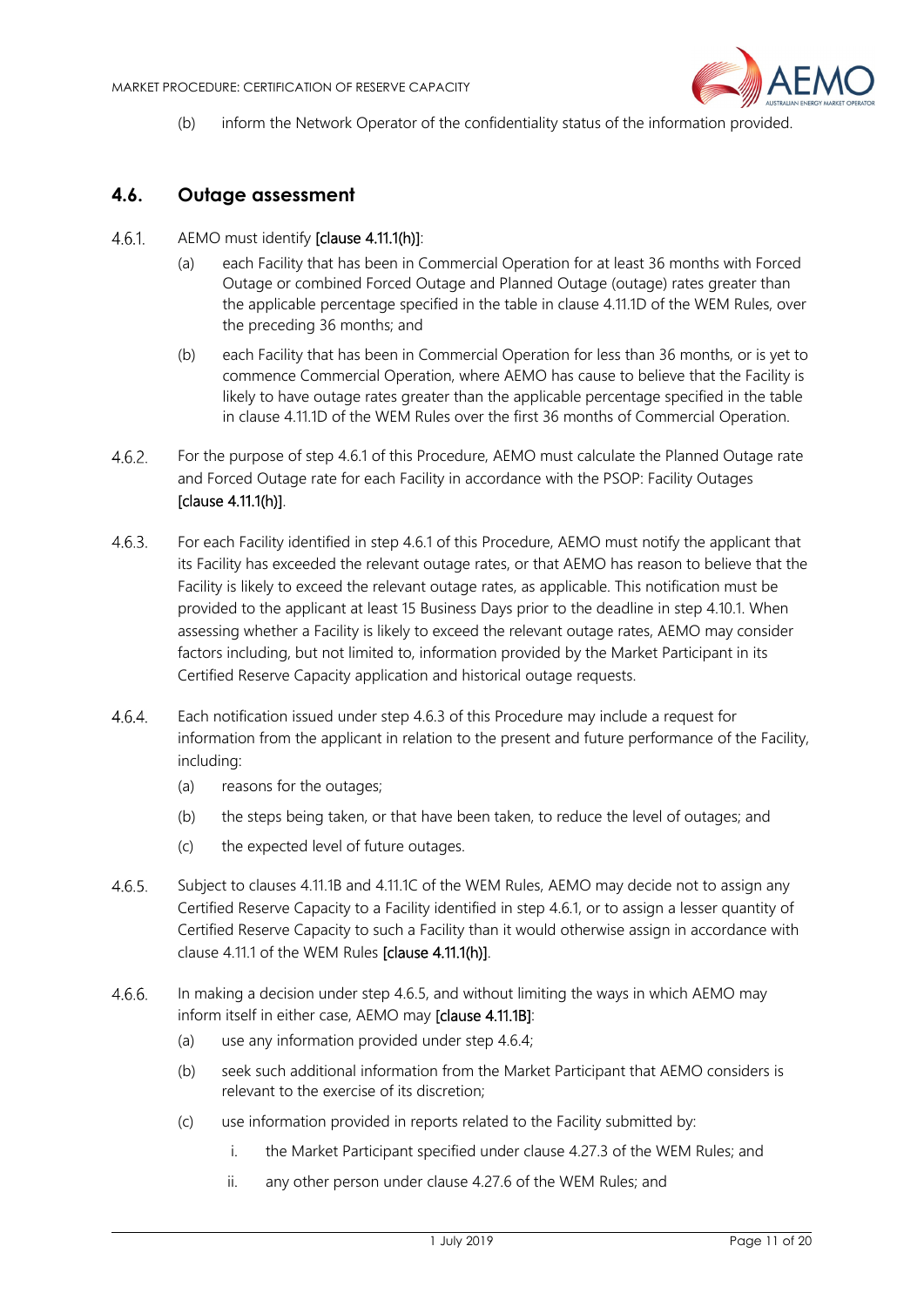

(b) inform the Network Operator of the confidentiality status of the information provided.

# **4.6. Outage assessment**

#### $4.6.1.$ AEMO must identify [clause 4.11.1(h)]:

- (a) each Facility that has been in Commercial Operation for at least 36 months with Forced Outage or combined Forced Outage and Planned Outage (outage) rates greater than the applicable percentage specified in the table in clause 4.11.1D of the WEM Rules, over the preceding 36 months; and
- (b) each Facility that has been in Commercial Operation for less than 36 months, or is yet to commence Commercial Operation, where AEMO has cause to believe that the Facility is likely to have outage rates greater than the applicable percentage specified in the table in clause 4.11.1D of the WEM Rules over the first 36 months of Commercial Operation.
- $4.6.2$ For the purpose of step 4.6.1 of this Procedure, AEMO must calculate the Planned Outage rate and Forced Outage rate for each Facility in accordance with the PSOP: Facility Outages [clause 4.11.1(h)].
- For each Facility identified in step 4.6.1 of this Procedure, AEMO must notify the applicant that 4.6.3. its Facility has exceeded the relevant outage rates, or that AEMO has reason to believe that the Facility is likely to exceed the relevant outage rates, as applicable. This notification must be provided to the applicant at least 15 Business Days prior to the deadline in step 4.10.1. When assessing whether a Facility is likely to exceed the relevant outage rates, AEMO may consider factors including, but not limited to, information provided by the Market Participant in its Certified Reserve Capacity application and historical outage requests.
- $4.6.4.$ Each notification issued under step 4.6.3 of this Procedure may include a request for information from the applicant in relation to the present and future performance of the Facility, including:
	- (a) reasons for the outages;
	- (b) the steps being taken, or that have been taken, to reduce the level of outages; and
	- (c) the expected level of future outages.
- $4.6.5.$ Subject to clauses 4.11.1B and 4.11.1C of the WEM Rules, AEMO may decide not to assign any Certified Reserve Capacity to a Facility identified in step 4.6.1, or to assign a lesser quantity of Certified Reserve Capacity to such a Facility than it would otherwise assign in accordance with clause 4.11.1 of the WEM Rules [clause 4.11.1(h)].
- $4.6.6.$ In making a decision under step 4.6.5, and without limiting the ways in which AEMO may inform itself in either case, AEMO may [clause 4.11.1B]:
	- (a) use any information provided under step 4.6.4;
	- (b) seek such additional information from the Market Participant that AEMO considers is relevant to the exercise of its discretion;
	- (c) use information provided in reports related to the Facility submitted by:
		- i. the Market Participant specified under clause 4.27.3 of the WEM Rules; and
		- ii. any other person under clause 4.27.6 of the WEM Rules; and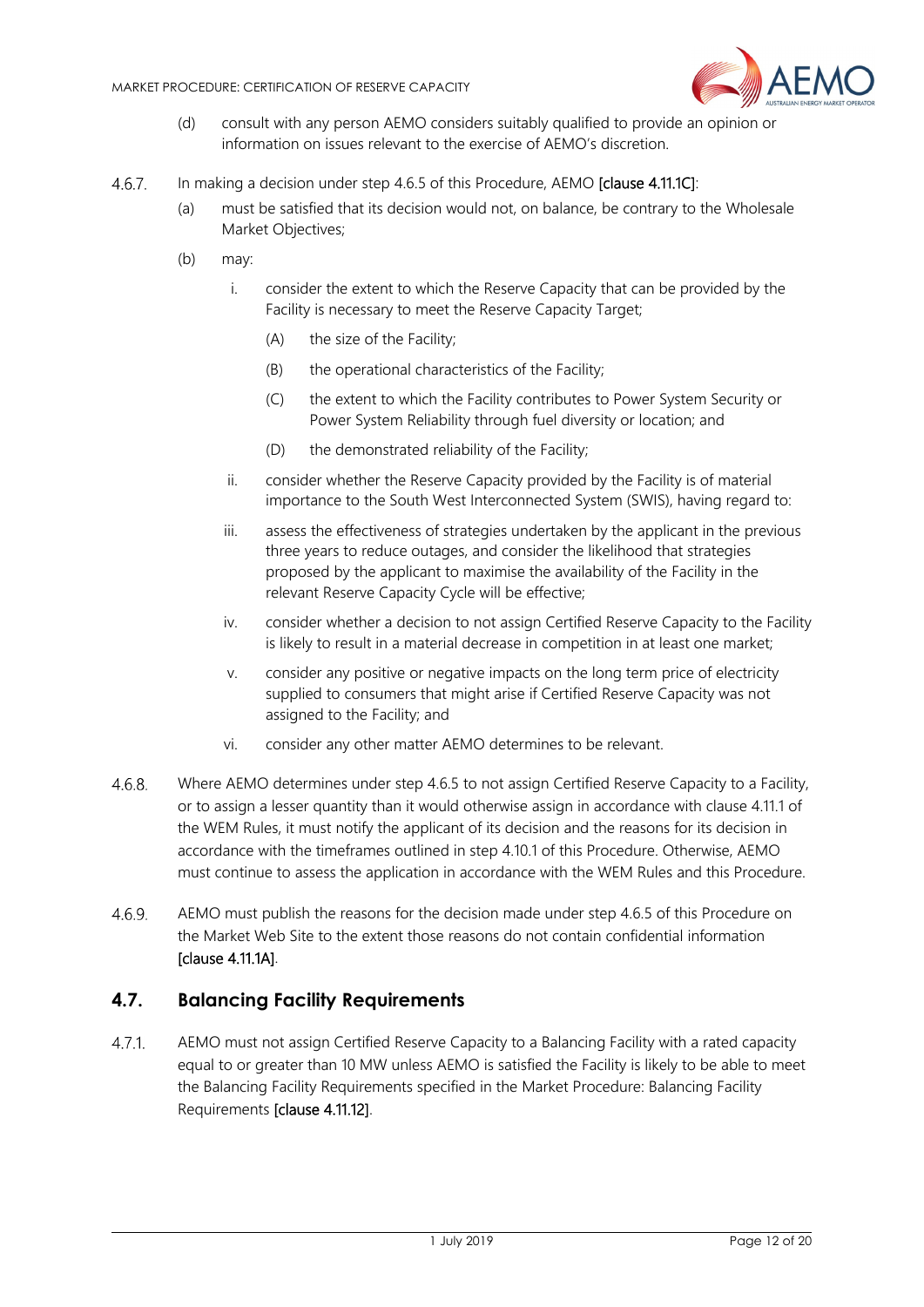

- (d) consult with any person AEMO considers suitably qualified to provide an opinion or information on issues relevant to the exercise of AEMO's discretion.
- 4.6.7. In making a decision under step 4.6.5 of this Procedure, AEMO **[clause 4.11.1C]**:
	- (a) must be satisfied that its decision would not, on balance, be contrary to the Wholesale Market Objectives;
	- (b) may:
		- i. consider the extent to which the Reserve Capacity that can be provided by the Facility is necessary to meet the Reserve Capacity Target;
			- (A) the size of the Facility;
			- (B) the operational characteristics of the Facility;
			- (C) the extent to which the Facility contributes to Power System Security or Power System Reliability through fuel diversity or location; and
			- (D) the demonstrated reliability of the Facility;
		- ii. consider whether the Reserve Capacity provided by the Facility is of material importance to the South West Interconnected System (SWIS), having regard to:
		- iii. assess the effectiveness of strategies undertaken by the applicant in the previous three years to reduce outages, and consider the likelihood that strategies proposed by the applicant to maximise the availability of the Facility in the relevant Reserve Capacity Cycle will be effective;
		- iv. consider whether a decision to not assign Certified Reserve Capacity to the Facility is likely to result in a material decrease in competition in at least one market;
		- v. consider any positive or negative impacts on the long term price of electricity supplied to consumers that might arise if Certified Reserve Capacity was not assigned to the Facility; and
		- vi. consider any other matter AEMO determines to be relevant.
- Where AEMO determines under step 4.6.5 to not assign Certified Reserve Capacity to a Facility, 4.6.8. or to assign a lesser quantity than it would otherwise assign in accordance with clause 4.11.1 of the WEM Rules, it must notify the applicant of its decision and the reasons for its decision in accordance with the timeframes outlined in step 4.10.1 of this Procedure. Otherwise, AEMO must continue to assess the application in accordance with the WEM Rules and this Procedure.
- $4.6.9.$ AEMO must publish the reasons for the decision made under step 4.6.5 of this Procedure on the Market Web Site to the extent those reasons do not contain confidential information [clause 4.11.1A].

#### **4.7. Balancing Facility Requirements**

 $4.7.1.$ AEMO must not assign Certified Reserve Capacity to a Balancing Facility with a rated capacity equal to or greater than 10 MW unless AEMO is satisfied the Facility is likely to be able to meet the Balancing Facility Requirements specified in the Market Procedure: Balancing Facility Requirements [clause 4.11.12].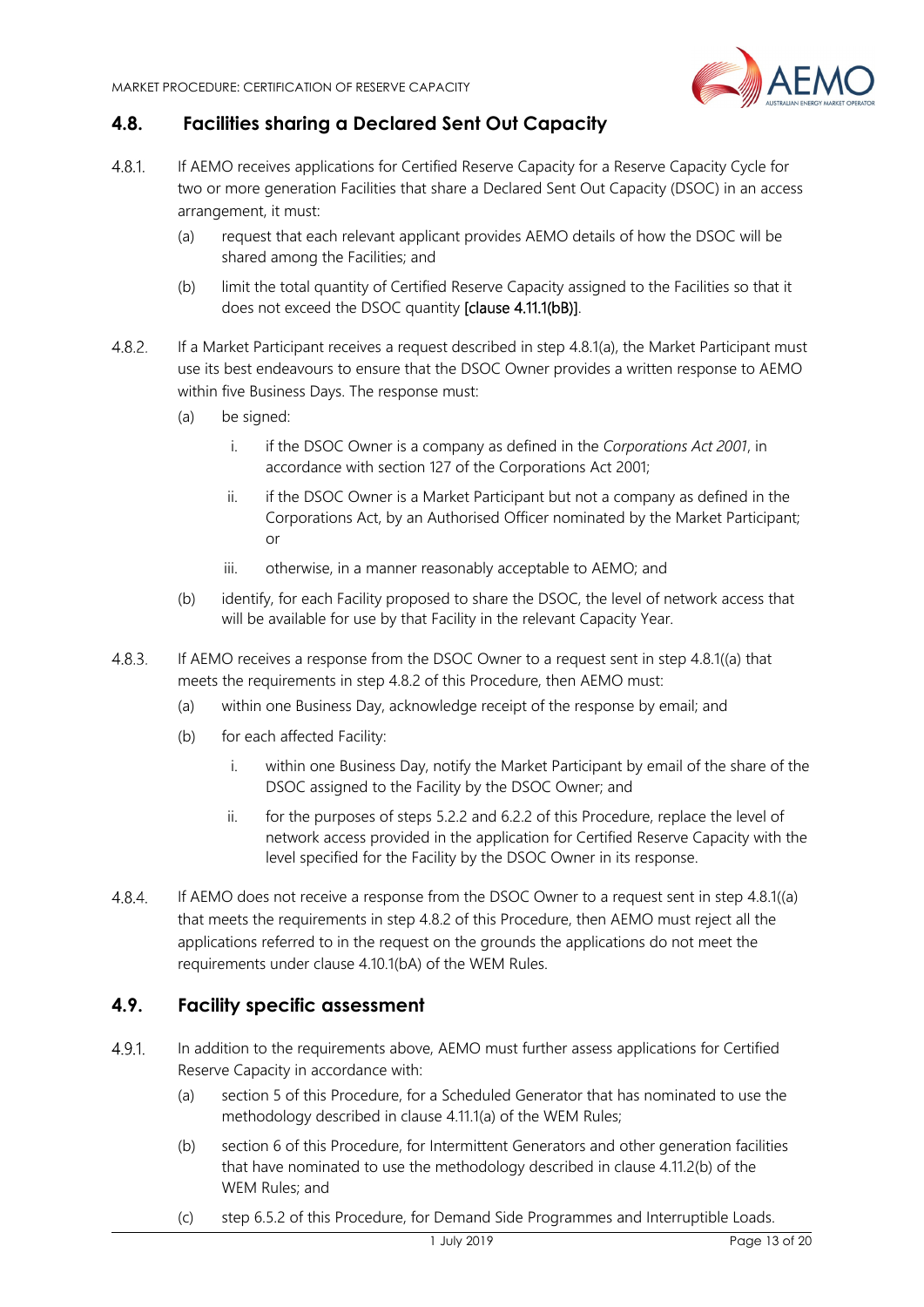

# **4.8. Facilities sharing a Declared Sent Out Capacity**

- $4.8.1$ If AEMO receives applications for Certified Reserve Capacity for a Reserve Capacity Cycle for two or more generation Facilities that share a Declared Sent Out Capacity (DSOC) in an access arrangement, it must:
	- (a) request that each relevant applicant provides AEMO details of how the DSOC will be shared among the Facilities; and
	- (b) limit the total quantity of Certified Reserve Capacity assigned to the Facilities so that it does not exceed the DSOC quantity [clause 4.11.1(bB)].
- $4.8.2.$ If a Market Participant receives a request described in step 4.8.1(a), the Market Participant must use its best endeavours to ensure that the DSOC Owner provides a written response to AEMO within five Business Days. The response must:
	- (a) be signed:
		- i. if the DSOC Owner is a company as defined in the *Corporations Act 2001*, in accordance with section 127 of the Corporations Act 2001;
		- ii. if the DSOC Owner is a Market Participant but not a company as defined in the Corporations Act, by an Authorised Officer nominated by the Market Participant; or
		- iii. otherwise, in a manner reasonably acceptable to AEMO; and
	- (b) identify, for each Facility proposed to share the DSOC, the level of network access that will be available for use by that Facility in the relevant Capacity Year.
- $4.8.3.$ If AEMO receives a response from the DSOC Owner to a request sent in step 4.8.1((a) that meets the requirements in step 4.8.2 of this Procedure, then AEMO must:
	- (a) within one Business Day, acknowledge receipt of the response by email; and
	- (b) for each affected Facility:
		- i. within one Business Day, notify the Market Participant by email of the share of the DSOC assigned to the Facility by the DSOC Owner; and
		- ii. for the purposes of steps 5.2.2 and 6.2.2 of this Procedure, replace the level of network access provided in the application for Certified Reserve Capacity with the level specified for the Facility by the DSOC Owner in its response.
- $4.8.4.$ If AEMO does not receive a response from the DSOC Owner to a request sent in step 4.8.1((a) that meets the requirements in step 4.8.2 of this Procedure, then AEMO must reject all the applications referred to in the request on the grounds the applications do not meet the requirements under clause 4.10.1(bA) of the WEM Rules.

### **4.9. Facility specific assessment**

- $4.9.1$ In addition to the requirements above, AEMO must further assess applications for Certified Reserve Capacity in accordance with:
	- (a) section 5 of this Procedure, for a Scheduled Generator that has nominated to use the methodology described in clause 4.11.1(a) of the WEM Rules;
	- (b) section 6 of this Procedure, for Intermittent Generators and other generation facilities that have nominated to use the methodology described in clause 4.11.2(b) of the WEM Rules; and
	- (c) step 6.5.2 of this Procedure, for Demand Side Programmes and Interruptible Loads.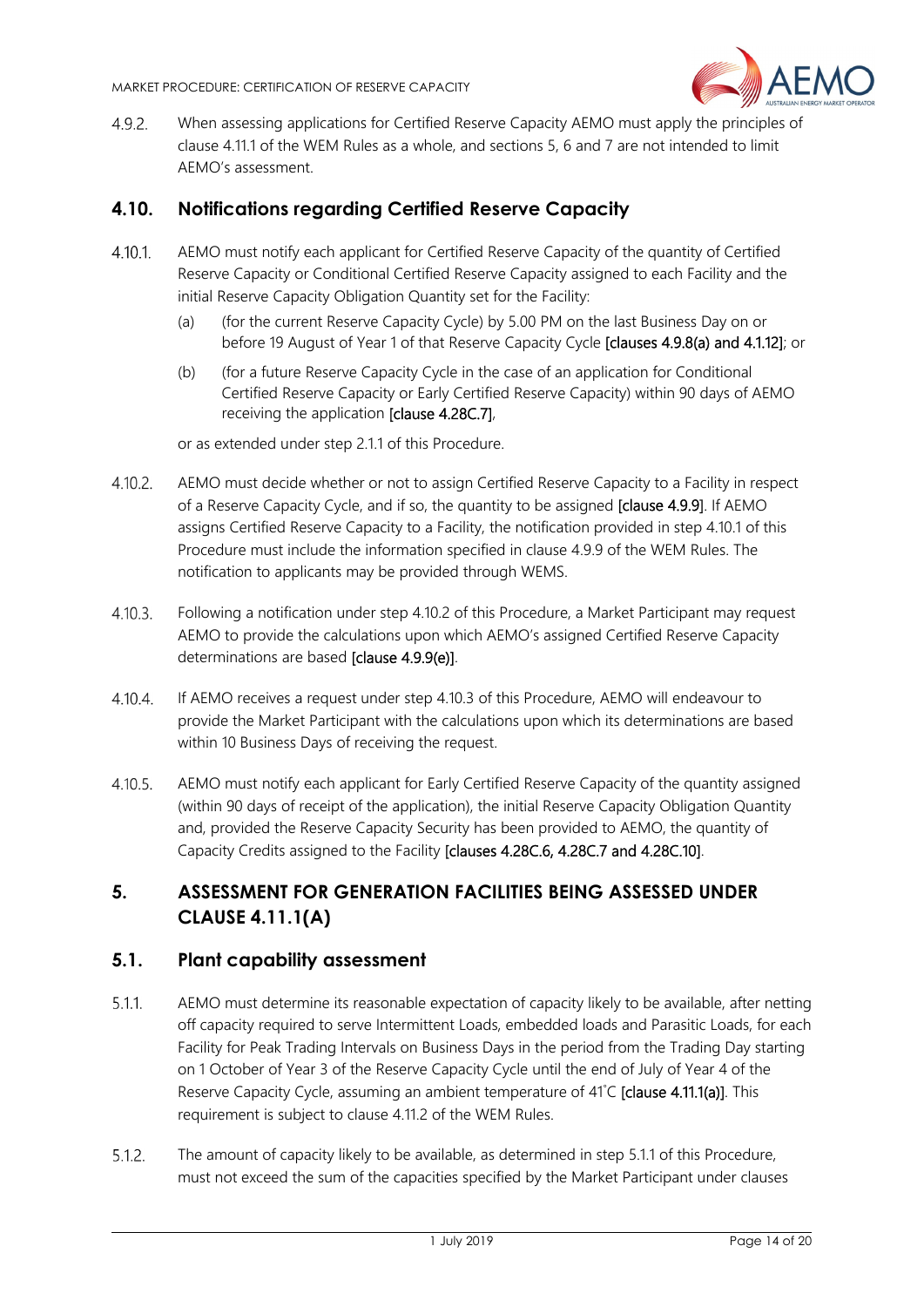

 $4.9.2.$ When assessing applications for Certified Reserve Capacity AEMO must apply the principles of clause 4.11.1 of the WEM Rules as a whole, and sections 5, 6 and 7 are not intended to limit AEMO's assessment.

# **4.10. Notifications regarding Certified Reserve Capacity**

- $4.10.1$ . AEMO must notify each applicant for Certified Reserve Capacity of the quantity of Certified Reserve Capacity or Conditional Certified Reserve Capacity assigned to each Facility and the initial Reserve Capacity Obligation Quantity set for the Facility:
	- (a) (for the current Reserve Capacity Cycle) by 5.00 PM on the last Business Day on or before 19 August of Year 1 of that Reserve Capacity Cycle [clauses 4.9.8(a) and 4.1.12]; or
	- (b) (for a future Reserve Capacity Cycle in the case of an application for Conditional Certified Reserve Capacity or Early Certified Reserve Capacity) within 90 days of AEMO receiving the application [clause 4.28C.7],

or as extended under step 2.1.1 of this Procedure.

- $4.10.2.$ AEMO must decide whether or not to assign Certified Reserve Capacity to a Facility in respect of a Reserve Capacity Cycle, and if so, the quantity to be assigned [clause 4.9.9]. If AEMO assigns Certified Reserve Capacity to a Facility, the notification provided in step 4.10.1 of this Procedure must include the information specified in clause 4.9.9 of the WEM Rules. The notification to applicants may be provided through WEMS.
- $4.10.3.$ Following a notification under step 4.10.2 of this Procedure, a Market Participant may request AEMO to provide the calculations upon which AEMO's assigned Certified Reserve Capacity determinations are based [clause 4.9.9(e)].
- $4.10.4.$ If AEMO receives a request under step 4.10.3 of this Procedure, AEMO will endeavour to provide the Market Participant with the calculations upon which its determinations are based within 10 Business Days of receiving the request.
- AEMO must notify each applicant for Early Certified Reserve Capacity of the quantity assigned  $4.10.5.$ (within 90 days of receipt of the application), the initial Reserve Capacity Obligation Quantity and, provided the Reserve Capacity Security has been provided to AEMO, the quantity of Capacity Credits assigned to the Facility [clauses 4.28C.6, 4.28C.7 and 4.28C.10].

# **5. ASSESSMENT FOR GENERATION FACILITIES BEING ASSESSED UNDER CLAUSE 4.11.1(A)**

#### **5.1. Plant capability assessment**

- $5.11$ AEMO must determine its reasonable expectation of capacity likely to be available, after netting off capacity required to serve Intermittent Loads, embedded loads and Parasitic Loads, for each Facility for Peak Trading Intervals on Business Days in the period from the Trading Day starting on 1 October of Year 3 of the Reserve Capacity Cycle until the end of July of Year 4 of the Reserve Capacity Cycle, assuming an ambient temperature of 41°C [clause 4.11.1(a)]. This requirement is subject to clause 4.11.2 of the WEM Rules.
- $5.1.2.$ The amount of capacity likely to be available, as determined in step 5.1.1 of this Procedure, must not exceed the sum of the capacities specified by the Market Participant under clauses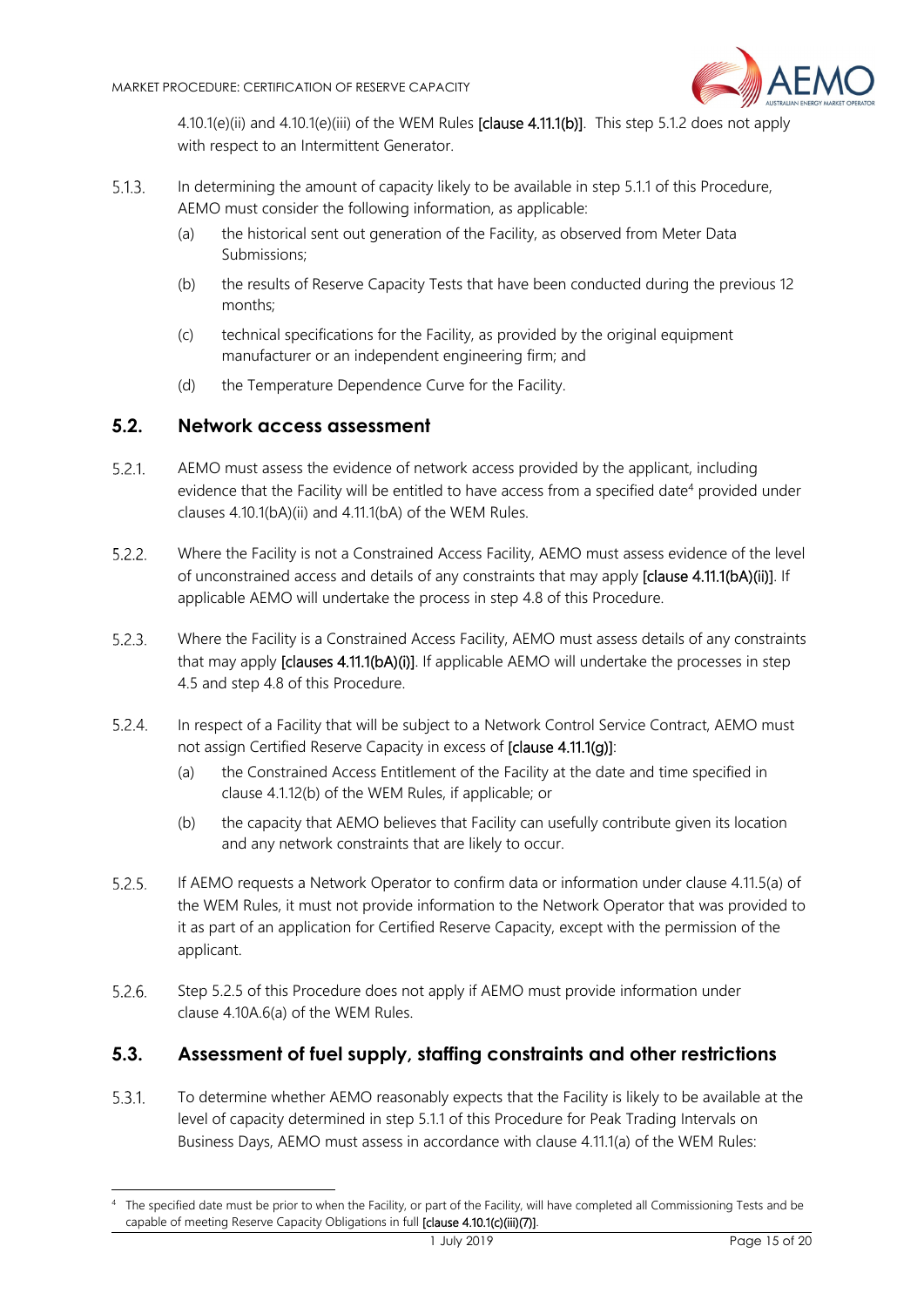

4.10.1(e)(ii) and 4.10.1(e)(iii) of the WEM Rules [clause 4.11.1(b)]. This step 5.1.2 does not apply with respect to an Intermittent Generator.

- $5.1.3.$ In determining the amount of capacity likely to be available in step 5.1.1 of this Procedure, AEMO must consider the following information, as applicable:
	- (a) the historical sent out generation of the Facility, as observed from Meter Data Submissions;
	- (b) the results of Reserve Capacity Tests that have been conducted during the previous 12 months;
	- (c) technical specifications for the Facility, as provided by the original equipment manufacturer or an independent engineering firm; and
	- (d) the Temperature Dependence Curve for the Facility.

#### **5.2. Network access assessment**

-

- $5.2.1$ AEMO must assess the evidence of network access provided by the applicant, including evidence that the Facility will be entitled to have access from a specified date<sup>4</sup> provided under clauses 4.10.1(bA)(ii) and 4.11.1(bA) of the WEM Rules.
- $5.2.2.$ Where the Facility is not a Constrained Access Facility, AEMO must assess evidence of the level of unconstrained access and details of any constraints that may apply [clause 4.11.1(bA)(ii)]. If applicable AEMO will undertake the process in step 4.8 of this Procedure.
- $5.2.3$ Where the Facility is a Constrained Access Facility, AEMO must assess details of any constraints that may apply [clauses 4.11.1(bA)(i)]. If applicable AEMO will undertake the processes in step 4.5 and step 4.8 of this Procedure.
- In respect of a Facility that will be subject to a Network Control Service Contract, AEMO must  $5.2.4.$ not assign Certified Reserve Capacity in excess of [clause 4.11.1(g)]:
	- (a) the Constrained Access Entitlement of the Facility at the date and time specified in clause 4.1.12(b) of the WEM Rules, if applicable; or
	- (b) the capacity that AEMO believes that Facility can usefully contribute given its location and any network constraints that are likely to occur.
- $5.2.5.$ If AEMO requests a Network Operator to confirm data or information under clause 4.11.5(a) of the WEM Rules, it must not provide information to the Network Operator that was provided to it as part of an application for Certified Reserve Capacity, except with the permission of the applicant.
- $5.2.6.$ Step 5.2.5 of this Procedure does not apply if AEMO must provide information under clause 4.10A.6(a) of the WEM Rules.

#### **5.3. Assessment of fuel supply, staffing constraints and other restrictions**

 $5.3.1.$ To determine whether AEMO reasonably expects that the Facility is likely to be available at the level of capacity determined in step 5.1.1 of this Procedure for Peak Trading Intervals on Business Days, AEMO must assess in accordance with clause 4.11.1(a) of the WEM Rules:

<sup>4</sup> The specified date must be prior to when the Facility, or part of the Facility, will have completed all Commissioning Tests and be capable of meeting Reserve Capacity Obligations in full [clause 4.10.1(c)(iii)(7)].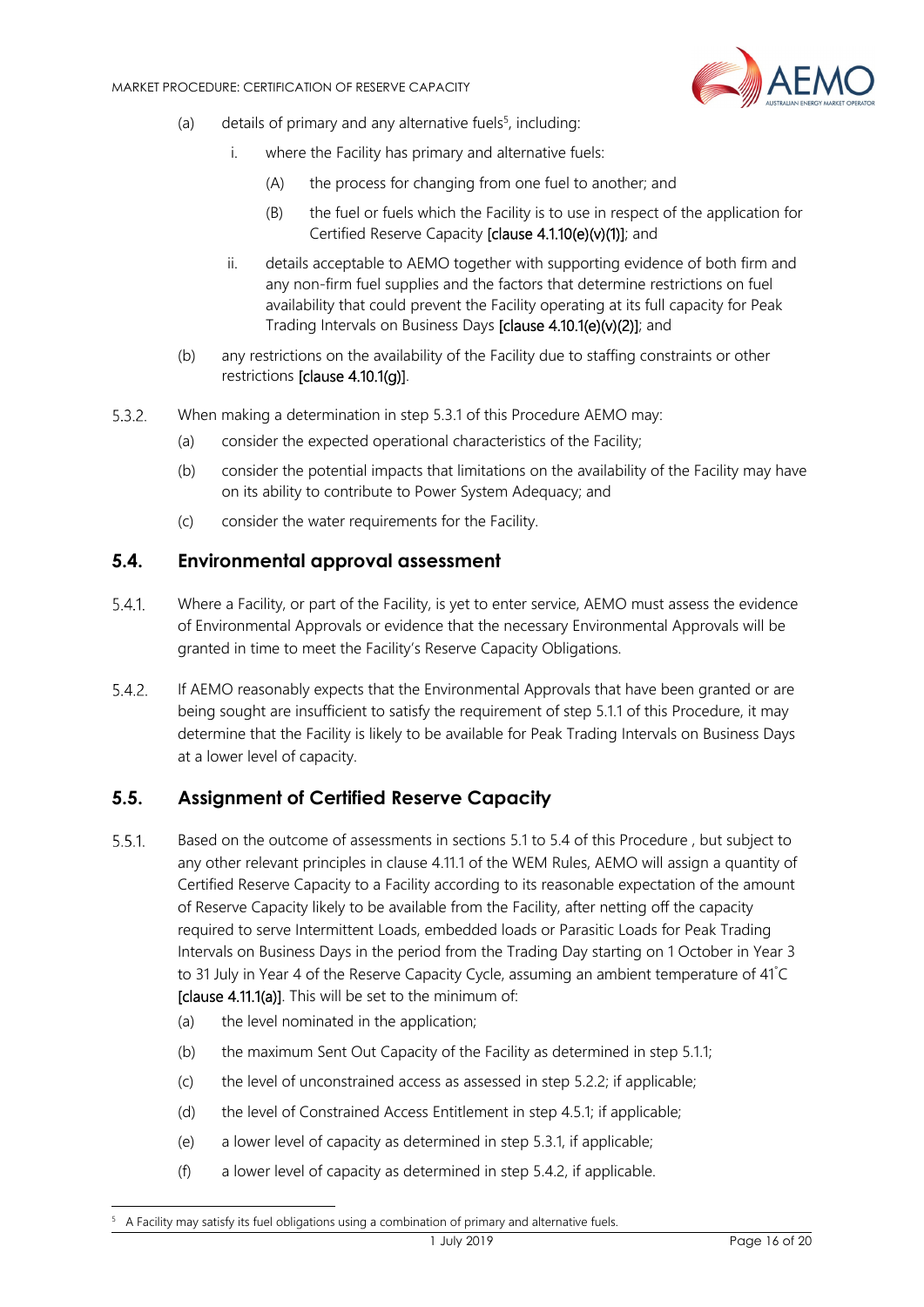

- (a) details of primary and any alternative fuels<sup>5</sup>, including:
	- i. where the Facility has primary and alternative fuels:
		- (A) the process for changing from one fuel to another; and
		- (B) the fuel or fuels which the Facility is to use in respect of the application for Certified Reserve Capacity [clause 4.1.10(e)(v)(1)]; and
	- ii. details acceptable to AEMO together with supporting evidence of both firm and any non-firm fuel supplies and the factors that determine restrictions on fuel availability that could prevent the Facility operating at its full capacity for Peak Trading Intervals on Business Days [clause 4.10.1(e)(v)(2)]; and
- (b) any restrictions on the availability of the Facility due to staffing constraints or other restrictions [clause 4.10.1(g)].
- $5.3.2.$ When making a determination in step 5.3.1 of this Procedure AEMO may:
	- (a) consider the expected operational characteristics of the Facility;
	- (b) consider the potential impacts that limitations on the availability of the Facility may have on its ability to contribute to Power System Adequacy; and
	- (c) consider the water requirements for the Facility.

#### **5.4. Environmental approval assessment**

- $5.4.1.$ Where a Facility, or part of the Facility, is yet to enter service, AEMO must assess the evidence of Environmental Approvals or evidence that the necessary Environmental Approvals will be granted in time to meet the Facility's Reserve Capacity Obligations.
- $5.4.2.$ If AEMO reasonably expects that the Environmental Approvals that have been granted or are being sought are insufficient to satisfy the requirement of step 5.1.1 of this Procedure, it may determine that the Facility is likely to be available for Peak Trading Intervals on Business Days at a lower level of capacity.

## **5.5. Assignment of Certified Reserve Capacity**

- $5.5.1$ . Based on the outcome of assessments in sections 5.1 to 5.4 of this Procedure , but subject to any other relevant principles in clause 4.11.1 of the WEM Rules, AEMO will assign a quantity of Certified Reserve Capacity to a Facility according to its reasonable expectation of the amount of Reserve Capacity likely to be available from the Facility, after netting off the capacity required to serve Intermittent Loads, embedded loads or Parasitic Loads for Peak Trading Intervals on Business Days in the period from the Trading Day starting on 1 October in Year 3 to 31 July in Year 4 of the Reserve Capacity Cycle, assuming an ambient temperature of 41° C [clause 4.11.1(a)]. This will be set to the minimum of:
	- (a) the level nominated in the application;

1

- (b) the maximum Sent Out Capacity of the Facility as determined in step 5.1.1;
- (c) the level of unconstrained access as assessed in step 5.2.2; if applicable;
- (d) the level of Constrained Access Entitlement in step 4.5.1; if applicable;
- (e) a lower level of capacity as determined in step 5.3.1, if applicable;
- (f) a lower level of capacity as determined in step 5.4.2, if applicable.

<sup>5</sup> A Facility may satisfy its fuel obligations using a combination of primary and alternative fuels.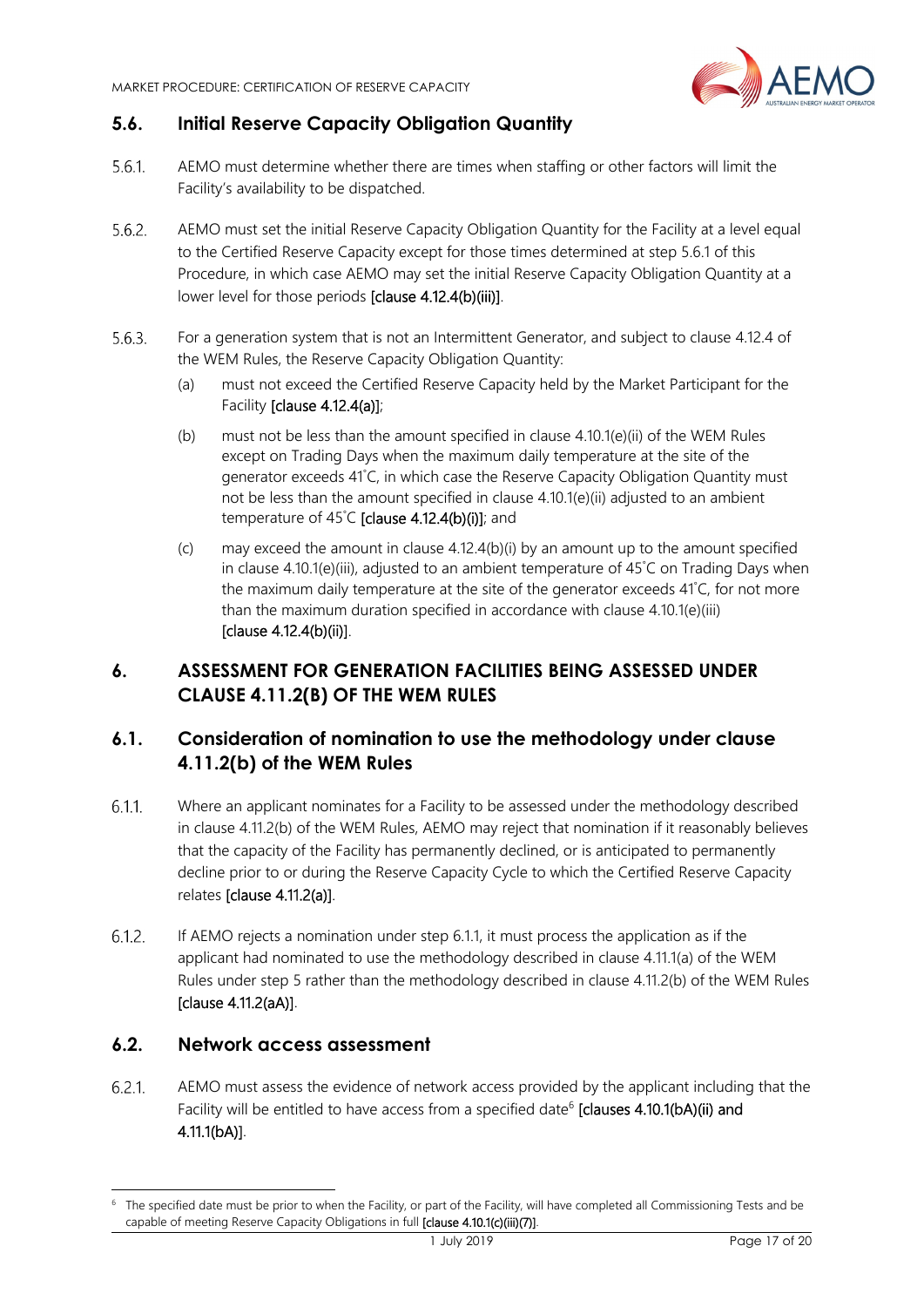

# **5.6. Initial Reserve Capacity Obligation Quantity**

- $5.6.1$ AEMO must determine whether there are times when staffing or other factors will limit the Facility's availability to be dispatched.
- $5.6.2.$ AEMO must set the initial Reserve Capacity Obligation Quantity for the Facility at a level equal to the Certified Reserve Capacity except for those times determined at step 5.6.1 of this Procedure, in which case AEMO may set the initial Reserve Capacity Obligation Quantity at a lower level for those periods [clause 4.12.4(b)(iii)].
- For a generation system that is not an Intermittent Generator, and subject to clause 4.12.4 of  $5.6.3.$ the WEM Rules, the Reserve Capacity Obligation Quantity:
	- (a) must not exceed the Certified Reserve Capacity held by the Market Participant for the Facility [clause 4.12.4(a)];
	- (b) must not be less than the amount specified in clause 4.10.1(e)(ii) of the WEM Rules except on Trading Days when the maximum daily temperature at the site of the generator exceeds 41° C, in which case the Reserve Capacity Obligation Quantity must not be less than the amount specified in clause 4.10.1(e)(ii) adjusted to an ambient temperature of  $45^{\circ}$ C [clause 4.12.4(b)(i)]; and
	- (c) may exceed the amount in clause  $4.12.4(b)(i)$  by an amount up to the amount specified in clause 4.10.1(e)(iii), adjusted to an ambient temperature of 45° C on Trading Days when the maximum daily temperature at the site of the generator exceeds 41° C, for not more than the maximum duration specified in accordance with clause 4.10.1(e)(iii) [clause 4.12.4(b)(ii)].

# **6. ASSESSMENT FOR GENERATION FACILITIES BEING ASSESSED UNDER CLAUSE 4.11.2(B) OF THE WEM RULES**

# **6.1. Consideration of nomination to use the methodology under clause 4.11.2(b) of the WEM Rules**

- $6.1.1$ . Where an applicant nominates for a Facility to be assessed under the methodology described in clause 4.11.2(b) of the WEM Rules, AEMO may reject that nomination if it reasonably believes that the capacity of the Facility has permanently declined, or is anticipated to permanently decline prior to or during the Reserve Capacity Cycle to which the Certified Reserve Capacity relates [clause 4.11.2(a)].
- $6.1.2.$ If AEMO rejects a nomination under step 6.1.1, it must process the application as if the applicant had nominated to use the methodology described in clause 4.11.1(a) of the WEM Rules under step 5 rather than the methodology described in clause 4.11.2(b) of the WEM Rules [clause 4.11.2(aA)].

#### **6.2. Network access assessment**

-

 $6.2.1$ . AEMO must assess the evidence of network access provided by the applicant including that the Facility will be entitled to have access from a specified date<sup>6</sup> [clauses 4.10.1(bA)(ii) and 4.11.1(bA)].

<sup>&</sup>lt;sup>6</sup> The specified date must be prior to when the Facility, or part of the Facility, will have completed all Commissioning Tests and be capable of meeting Reserve Capacity Obligations in full [clause 4.10.1(c)(iii)(7)].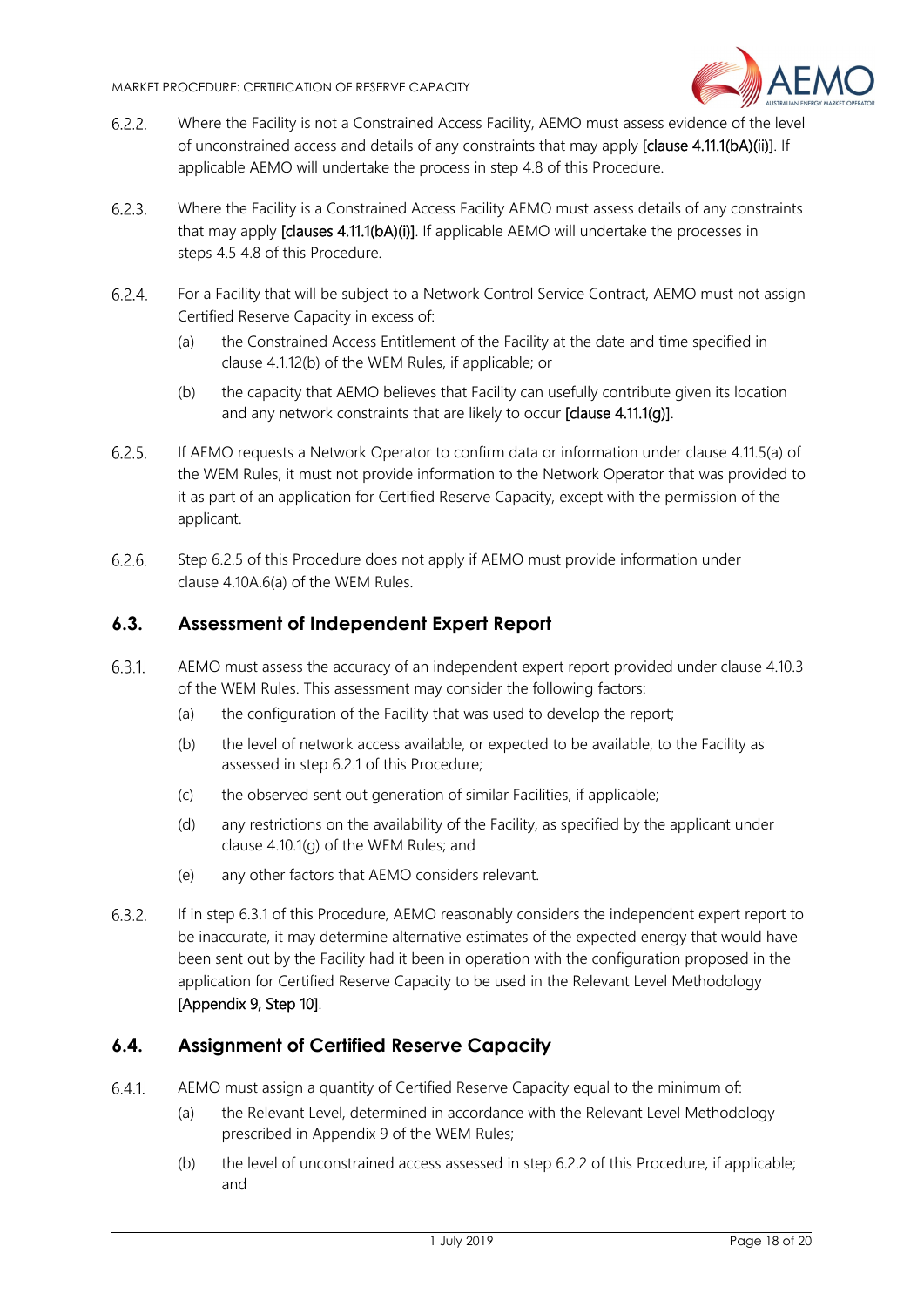

- $6.2.2.$ Where the Facility is not a Constrained Access Facility, AEMO must assess evidence of the level of unconstrained access and details of any constraints that may apply [clause 4.11.1(bA)(ii)]. If applicable AEMO will undertake the process in step 4.8 of this Procedure.
- $6.2.3.$ Where the Facility is a Constrained Access Facility AEMO must assess details of any constraints that may apply [clauses 4.11.1(bA)(i)]. If applicable AEMO will undertake the processes in steps 4.5 4.8 of this Procedure.
- $6.2.4.$ For a Facility that will be subject to a Network Control Service Contract, AEMO must not assign Certified Reserve Capacity in excess of:
	- (a) the Constrained Access Entitlement of the Facility at the date and time specified in clause 4.1.12(b) of the WEM Rules, if applicable; or
	- (b) the capacity that AEMO believes that Facility can usefully contribute given its location and any network constraints that are likely to occur [clause 4.11.1(g)].
- $6.2.5.$ If AEMO requests a Network Operator to confirm data or information under clause 4.11.5(a) of the WEM Rules, it must not provide information to the Network Operator that was provided to it as part of an application for Certified Reserve Capacity, except with the permission of the applicant.
- $6.2.6.$ Step 6.2.5 of this Procedure does not apply if AEMO must provide information under clause 4.10A.6(a) of the WEM Rules.

## **6.3. Assessment of Independent Expert Report**

- $6.3.1.$ AEMO must assess the accuracy of an independent expert report provided under clause 4.10.3 of the WEM Rules. This assessment may consider the following factors:
	- (a) the configuration of the Facility that was used to develop the report;
	- (b) the level of network access available, or expected to be available, to the Facility as assessed in step 6.2.1 of this Procedure;
	- (c) the observed sent out generation of similar Facilities, if applicable;
	- (d) any restrictions on the availability of the Facility, as specified by the applicant under clause 4.10.1(g) of the WEM Rules; and
	- (e) any other factors that AEMO considers relevant.
- $6.3.2.$ If in step 6.3.1 of this Procedure, AEMO reasonably considers the independent expert report to be inaccurate, it may determine alternative estimates of the expected energy that would have been sent out by the Facility had it been in operation with the configuration proposed in the application for Certified Reserve Capacity to be used in the Relevant Level Methodology [Appendix 9, Step 10].

#### **6.4. Assignment of Certified Reserve Capacity**

- AEMO must assign a quantity of Certified Reserve Capacity equal to the minimum of:  $6.4.1$ 
	- (a) the Relevant Level, determined in accordance with the Relevant Level Methodology prescribed in Appendix 9 of the WEM Rules;
	- (b) the level of unconstrained access assessed in step 6.2.2 of this Procedure, if applicable; and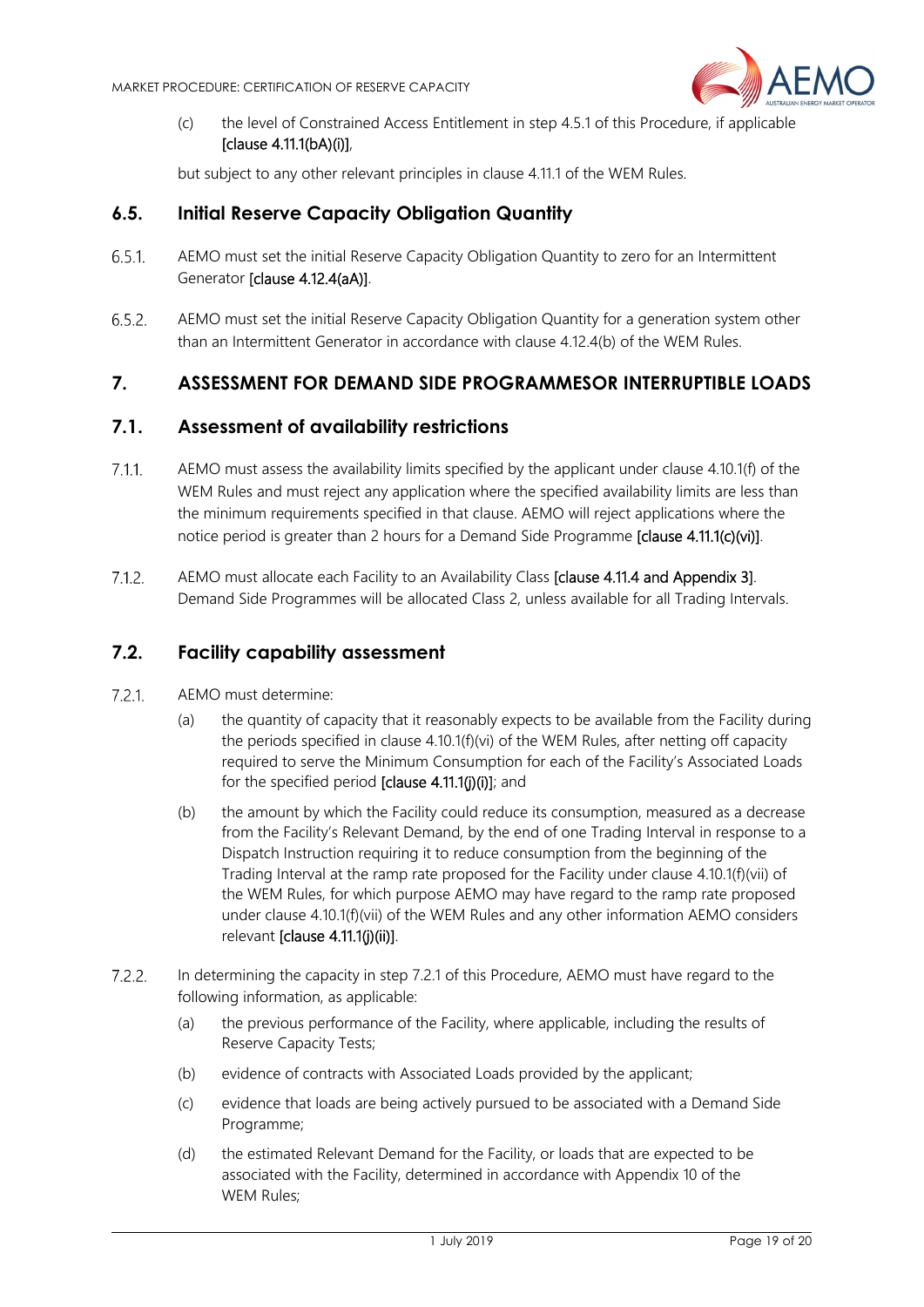

(c) the level of Constrained Access Entitlement in step 4.5.1 of this Procedure, if applicable [clause 4.11.1(bA)(i)],

but subject to any other relevant principles in clause 4.11.1 of the WEM Rules.

#### **6.5. Initial Reserve Capacity Obligation Quantity**

- $6.5.1$ AEMO must set the initial Reserve Capacity Obligation Quantity to zero for an Intermittent Generator [clause 4.12.4(aA)].
- 6.5.2 AEMO must set the initial Reserve Capacity Obligation Quantity for a generation system other than an Intermittent Generator in accordance with clause 4.12.4(b) of the WEM Rules.

# **7. ASSESSMENT FOR DEMAND SIDE PROGRAMMESOR INTERRUPTIBLE LOADS**

#### **7.1. Assessment of availability restrictions**

- $7.1.1$ AEMO must assess the availability limits specified by the applicant under clause 4.10.1(f) of the WEM Rules and must reject any application where the specified availability limits are less than the minimum requirements specified in that clause. AEMO will reject applications where the notice period is greater than 2 hours for a Demand Side Programme **[clause 4.11.1(c)(vi)]**.
- $7.1.2.$ AEMO must allocate each Facility to an Availability Class [clause 4.11.4 and Appendix 3]. Demand Side Programmes will be allocated Class 2, unless available for all Trading Intervals.

#### **7.2. Facility capability assessment**

- $7.2.1$ AEMO must determine:
	- (a) the quantity of capacity that it reasonably expects to be available from the Facility during the periods specified in clause 4.10.1(f)(vi) of the WEM Rules, after netting off capacity required to serve the Minimum Consumption for each of the Facility's Associated Loads for the specified period [clause 4.11.1(j)(i)]; and
	- (b) the amount by which the Facility could reduce its consumption, measured as a decrease from the Facility's Relevant Demand, by the end of one Trading Interval in response to a Dispatch Instruction requiring it to reduce consumption from the beginning of the Trading Interval at the ramp rate proposed for the Facility under clause 4.10.1(f)(vii) of the WEM Rules, for which purpose AEMO may have regard to the ramp rate proposed under clause 4.10.1(f)(vii) of the WEM Rules and any other information AEMO considers relevant [clause 4.11.1(j)(ii)].
- $7.2.2.$ In determining the capacity in step 7.2.1 of this Procedure, AEMO must have regard to the following information, as applicable:
	- (a) the previous performance of the Facility, where applicable, including the results of Reserve Capacity Tests;
	- (b) evidence of contracts with Associated Loads provided by the applicant;
	- (c) evidence that loads are being actively pursued to be associated with a Demand Side Programme;
	- (d) the estimated Relevant Demand for the Facility, or loads that are expected to be associated with the Facility, determined in accordance with Appendix 10 of the WEM Rules;